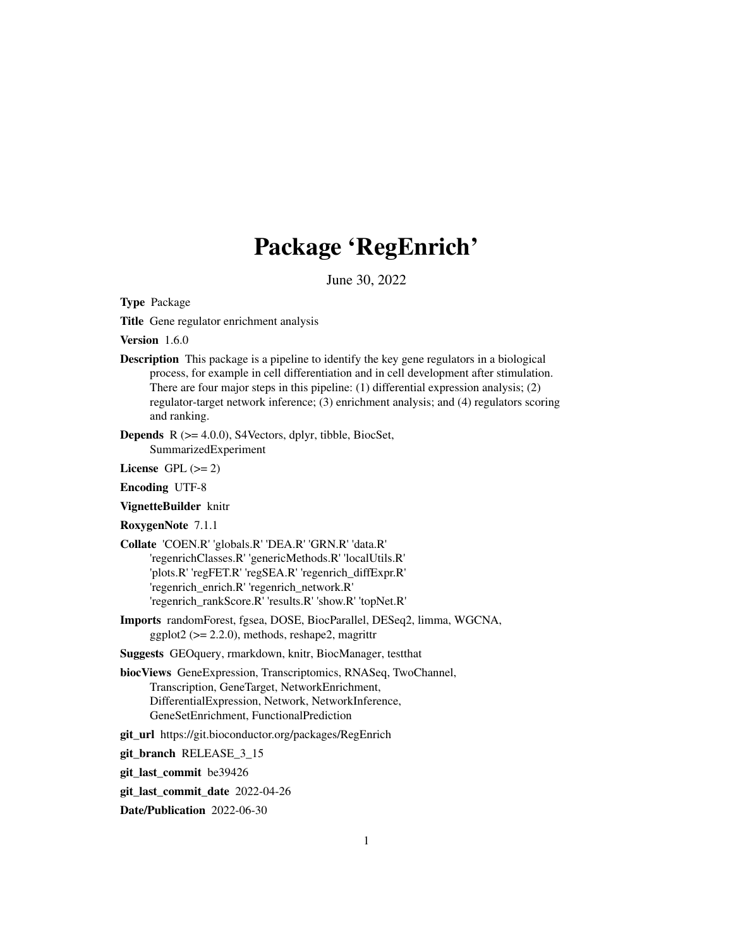# Package 'RegEnrich'

June 30, 2022

<span id="page-0-0"></span>Type Package

Title Gene regulator enrichment analysis

Version 1.6.0

Description This package is a pipeline to identify the key gene regulators in a biological process, for example in cell differentiation and in cell development after stimulation. There are four major steps in this pipeline: (1) differential expression analysis; (2) regulator-target network inference; (3) enrichment analysis; and (4) regulators scoring and ranking.

Depends R (>= 4.0.0), S4Vectors, dplyr, tibble, BiocSet, SummarizedExperiment

License GPL  $(>= 2)$ 

Encoding UTF-8

VignetteBuilder knitr

RoxygenNote 7.1.1

- Collate 'COEN.R' 'globals.R' 'DEA.R' 'GRN.R' 'data.R' 'regenrichClasses.R' 'genericMethods.R' 'localUtils.R' 'plots.R' 'regFET.R' 'regSEA.R' 'regenrich\_diffExpr.R' 'regenrich\_enrich.R' 'regenrich\_network.R' 'regenrich\_rankScore.R' 'results.R' 'show.R' 'topNet.R'
- Imports randomForest, fgsea, DOSE, BiocParallel, DESeq2, limma, WGCNA, ggplot $2 \leq 2.2.0$ , methods, reshape2, magrittr

Suggests GEOquery, rmarkdown, knitr, BiocManager, testthat

biocViews GeneExpression, Transcriptomics, RNASeq, TwoChannel, Transcription, GeneTarget, NetworkEnrichment, DifferentialExpression, Network, NetworkInference, GeneSetEnrichment, FunctionalPrediction

git\_url https://git.bioconductor.org/packages/RegEnrich

git\_branch RELEASE\_3\_15

git\_last\_commit be39426

git last commit date 2022-04-26

Date/Publication 2022-06-30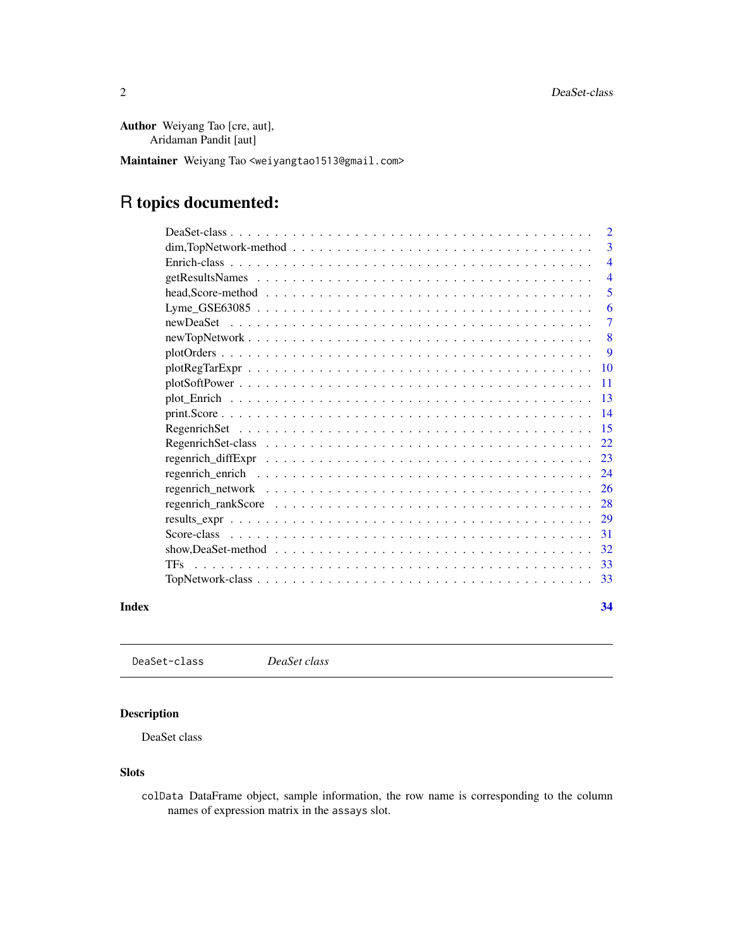<span id="page-1-0"></span>Author Weiyang Tao [cre, aut], Aridaman Pandit [aut]

Maintainer Weiyang Tao <weiyangtao1513@gmail.com>

# R topics documented:

|       | $dim, TopNetwork-method \dots \dots \dots \dots \dots \dots \dots \dots \dots \dots \dots \dots \dots \dots$          | 3              |
|-------|-----------------------------------------------------------------------------------------------------------------------|----------------|
|       |                                                                                                                       | $\overline{4}$ |
|       |                                                                                                                       | $\overline{4}$ |
|       |                                                                                                                       | 5              |
|       | Lyme_GSE63085 $\dots \dots \dots \dots \dots \dots \dots \dots \dots \dots \dots \dots \dots \dots \dots \dots \dots$ | 6              |
|       |                                                                                                                       | $\overline{7}$ |
|       |                                                                                                                       | - 8            |
|       |                                                                                                                       | $\mathbf{Q}$   |
|       |                                                                                                                       |                |
|       |                                                                                                                       |                |
|       |                                                                                                                       |                |
|       |                                                                                                                       |                |
|       |                                                                                                                       |                |
|       |                                                                                                                       |                |
|       |                                                                                                                       |                |
|       |                                                                                                                       |                |
|       |                                                                                                                       |                |
|       |                                                                                                                       |                |
|       |                                                                                                                       |                |
|       |                                                                                                                       |                |
|       |                                                                                                                       |                |
|       | <b>TFs</b>                                                                                                            |                |
|       |                                                                                                                       |                |
| Index |                                                                                                                       | 34             |

DeaSet-class *DeaSet class*

# Description

DeaSet class

# Slots

colData DataFrame object, sample information, the row name is corresponding to the column names of expression matrix in the assays slot.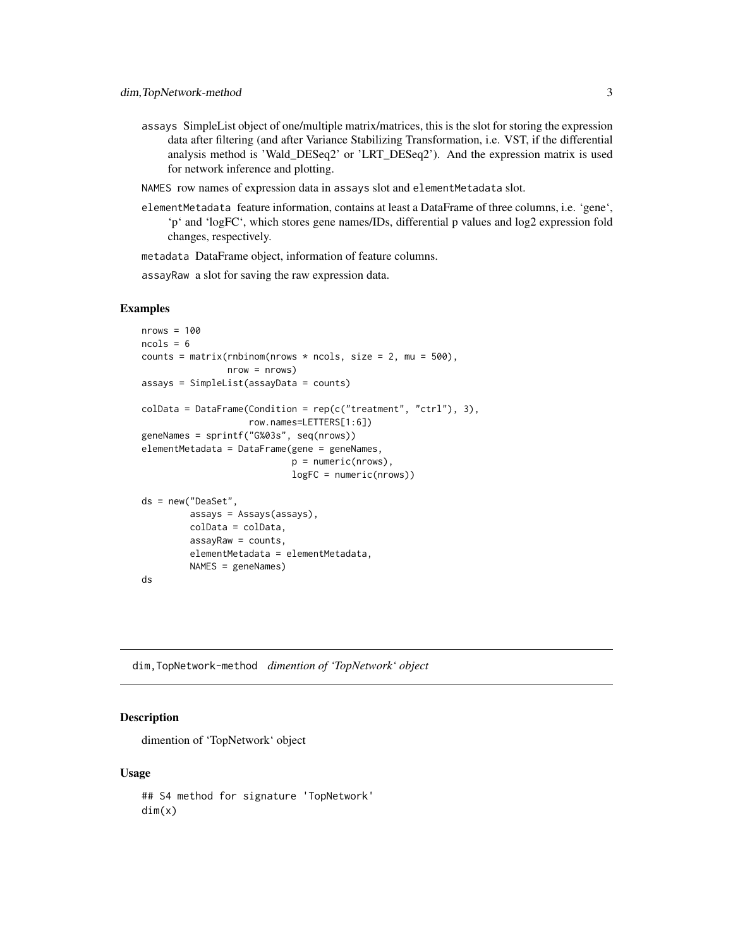<span id="page-2-0"></span>assays SimpleList object of one/multiple matrix/matrices, this is the slot for storing the expression data after filtering (and after Variance Stabilizing Transformation, i.e. VST, if the differential analysis method is 'Wald\_DESeq2' or 'LRT\_DESeq2'). And the expression matrix is used for network inference and plotting.

NAMES row names of expression data in assays slot and elementMetadata slot.

elementMetadata feature information, contains at least a DataFrame of three columns, i.e. 'gene', 'p' and 'logFC', which stores gene names/IDs, differential p values and log2 expression fold changes, respectively.

metadata DataFrame object, information of feature columns.

assayRaw a slot for saving the raw expression data.

#### Examples

```
nrows = 100ncols = 6counts = matrix(rnbinom(nrows * ncols, size = 2, mu = 500),
                nrow = nrows)assays = SimpleList(assayData = counts)
colData = DataFrame(Condition = rep(c("treatment", "ctrl"), 3),row.names=LETTERS[1:6])
geneNames = sprintf("G%03s", seq(nrows))
elementMetadata = DataFrame(gene = geneNames,
                            p = numeric(nrows),
                            logFC = numeric(nrows))
ds = new("DeaSet",
        assays = Assays(assays),
        colData = colData,
        assayRaw = counts,
        elementMetadata = elementMetadata,
        NAMES = geneNames)
ds
```
dim,TopNetwork-method *dimention of 'TopNetwork' object*

# Description

dimention of 'TopNetwork' object

#### Usage

## S4 method for signature 'TopNetwork' dim(x)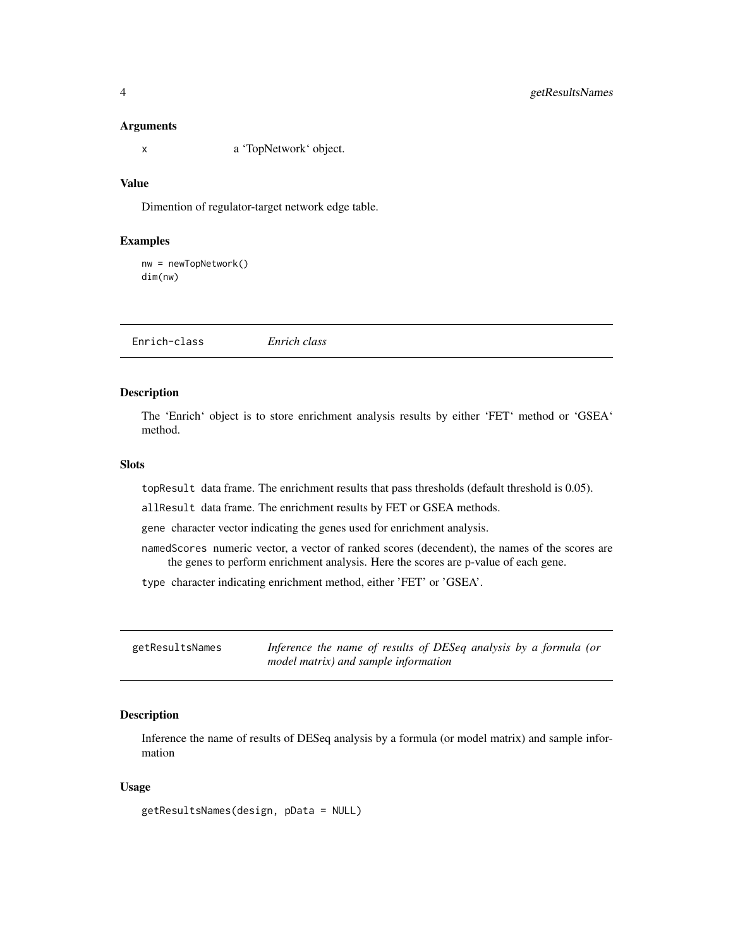#### <span id="page-3-0"></span>Arguments

x a 'TopNetwork' object.

# Value

Dimention of regulator-target network edge table.

#### Examples

nw = newTopNetwork() dim(nw)

<span id="page-3-1"></span>Enrich-class *Enrich class*

# Description

The 'Enrich' object is to store enrichment analysis results by either 'FET' method or 'GSEA' method.

#### **Slots**

topResult data frame. The enrichment results that pass thresholds (default threshold is 0.05).

allResult data frame. The enrichment results by FET or GSEA methods.

gene character vector indicating the genes used for enrichment analysis.

- namedScores numeric vector, a vector of ranked scores (decendent), the names of the scores are the genes to perform enrichment analysis. Here the scores are p-value of each gene.
- type character indicating enrichment method, either 'FET' or 'GSEA'.

| getResultsNames | Inference the name of results of DESeq analysis by a formula (or |
|-----------------|------------------------------------------------------------------|
|                 | model matrix) and sample information                             |

# Description

Inference the name of results of DESeq analysis by a formula (or model matrix) and sample information

#### Usage

getResultsNames(design, pData = NULL)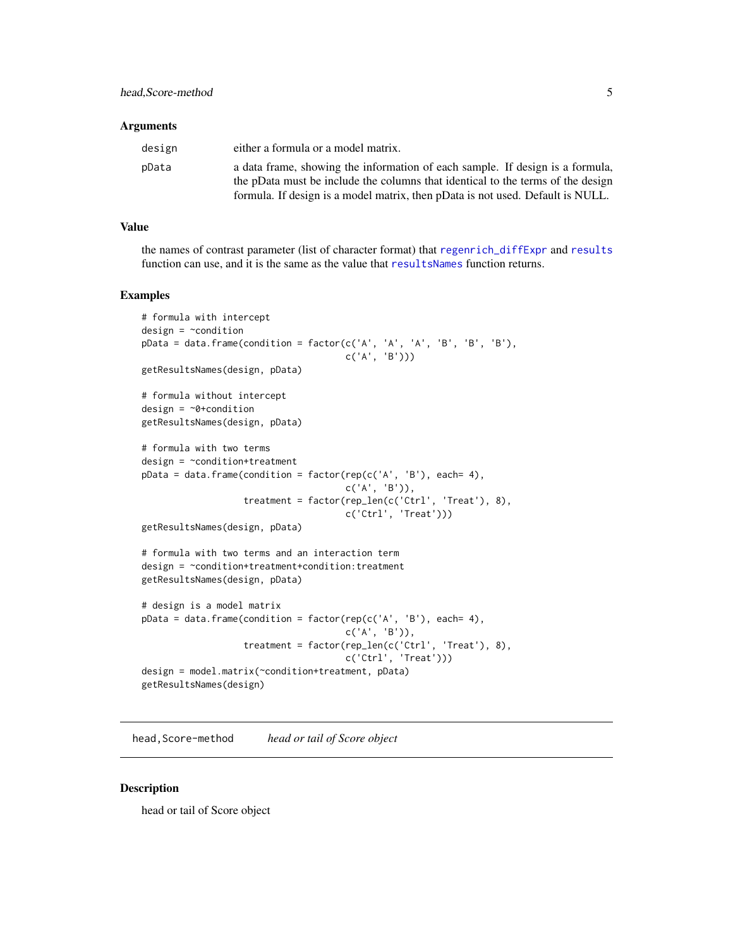#### <span id="page-4-0"></span>**Arguments**

| design | either a formula or a model matrix.                                             |
|--------|---------------------------------------------------------------------------------|
| pData  | a data frame, showing the information of each sample. If design is a formula,   |
|        | the pData must be include the columns that identical to the terms of the design |
|        | formula. If design is a model matrix, then pData is not used. Default is NULL.  |

#### Value

the names of contrast parameter (list of character format) that [regenrich\\_diffExpr](#page-22-1) and [results](#page-0-0) function can use, and it is the same as the value that [resultsNames](#page-0-0) function returns.

#### Examples

```
# formula with intercept
design = \simcondition
pData = data frame(condition = factor(c('A', 'A', 'A', 'B', 'B', 'B'))c('A', 'B')))
getResultsNames(design, pData)
# formula without intercept
design = ~0+condition
getResultsNames(design, pData)
# formula with two terms
design = \sim condition+treatmentpData = data frame(condition = factor(rep(c('A', 'B')), each= 4),c('A', 'B')),
                   treatment = factor(rep_len(c('Ctrl', 'Treat'), 8),
                                      c('Ctrl', 'Treat')))
getResultsNames(design, pData)
# formula with two terms and an interaction term
design = ~condition+treatment+condition:treatment
getResultsNames(design, pData)
# design is a model matrix
pData = data.frame(condition = factor(rep(c('A', 'B'), each= 4),
                                      c('A', 'B')),
                   treatment = factor(rep_len(c('Ctrl', 'Treat'), 8),
                                      c('Ctrl', 'Treat')))
design = model.matrix(~condition+treatment, pData)
getResultsNames(design)
```
head,Score-method *head or tail of Score object*

#### Description

head or tail of Score object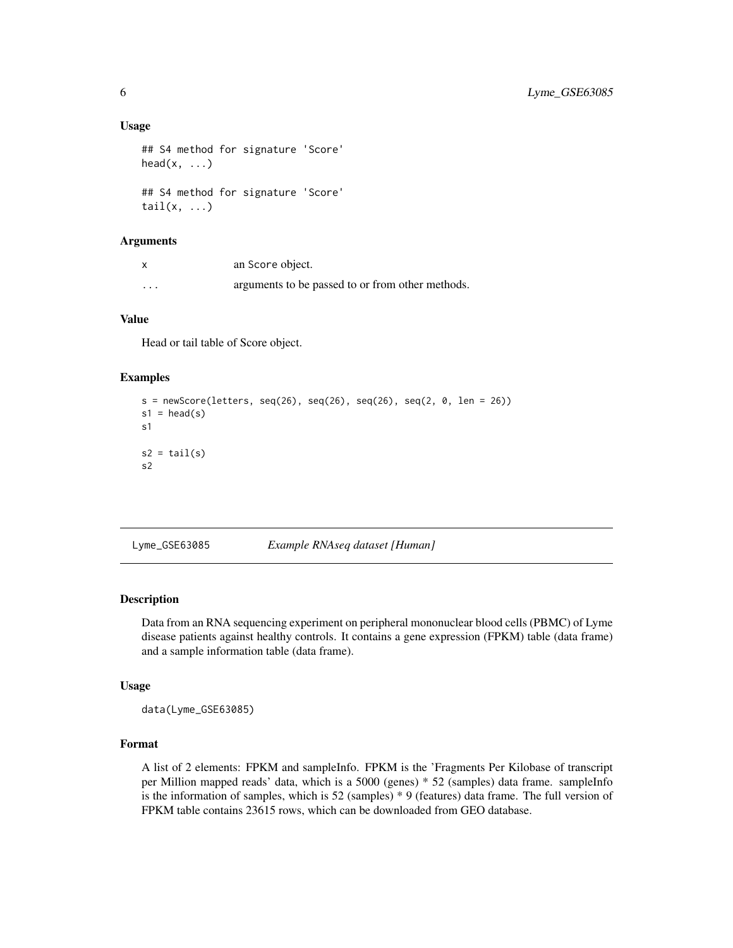#### Usage

```
## S4 method for signature 'Score'
head(x, \ldots)## S4 method for signature 'Score'
tail(x, \ldots)
```
#### Arguments

| $\boldsymbol{\mathsf{x}}$ | an Score object.                                 |
|---------------------------|--------------------------------------------------|
| $\cdots$                  | arguments to be passed to or from other methods. |

#### Value

Head or tail table of Score object.

#### Examples

```
s = newScore(leftters, seq(26), seq(26), seq(26), seq(26), seq(2, 0, len = 26))s1 = head(s)s1
s2 = tail(s)s2
```
Lyme\_GSE63085 *Example RNAseq dataset [Human]*

### Description

Data from an RNA sequencing experiment on peripheral mononuclear blood cells (PBMC) of Lyme disease patients against healthy controls. It contains a gene expression (FPKM) table (data frame) and a sample information table (data frame).

#### Usage

data(Lyme\_GSE63085)

# Format

A list of 2 elements: FPKM and sampleInfo. FPKM is the 'Fragments Per Kilobase of transcript per Million mapped reads' data, which is a 5000 (genes) \* 52 (samples) data frame. sampleInfo is the information of samples, which is 52 (samples) \* 9 (features) data frame. The full version of FPKM table contains 23615 rows, which can be downloaded from GEO database.

<span id="page-5-0"></span>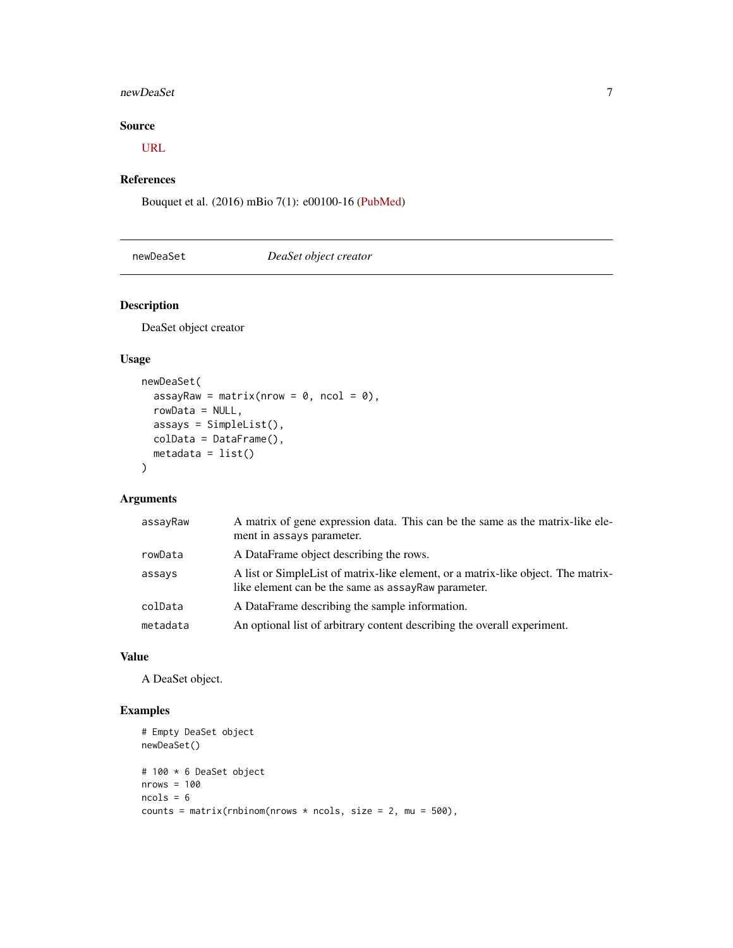#### <span id="page-6-0"></span>newDeaSet 7 and 2008 and 2008 and 2008 and 2008 and 2008 and 2008 and 2008 and 2008 and 2008 and 2008 and 2008

# Source

[URL](https://www.ncbi.nlm.nih.gov/geo/query/acc.cgi?acc=GSE63085)

# References

Bouquet et al. (2016) mBio 7(1): e00100-16 [\(PubMed\)](https://www.ncbi.nlm.nih.gov/pubmed/26873097)

# <span id="page-6-1"></span>newDeaSet *DeaSet object creator*

# Description

DeaSet object creator

## Usage

```
newDeaSet(
 assayRaw = matrix(nrow = \theta, ncol = \theta),
 rowData = NULL,
 assays = SimpleList(),
 colData = DataFrame(),
 metadata = list()
)
```
#### Arguments

| assayRaw | A matrix of gene expression data. This can be the same as the matrix-like ele-<br>ment in assays parameter.                               |
|----------|-------------------------------------------------------------------------------------------------------------------------------------------|
| rowData  | A DataFrame object describing the rows.                                                                                                   |
| assays   | A list or Simple List of matrix-like element, or a matrix-like object. The matrix-<br>like element can be the same as assayRaw parameter. |
| colData  | A DataFrame describing the sample information.                                                                                            |
| metadata | An optional list of arbitrary content describing the overall experiment.                                                                  |

#### Value

A DeaSet object.

```
# Empty DeaSet object
newDeaSet()
# 100 * 6 DeaSet object
nrows = 100ncols = 6counts = matrix(rnbinom(nrows * ncols, size = 2, mu = 500),
```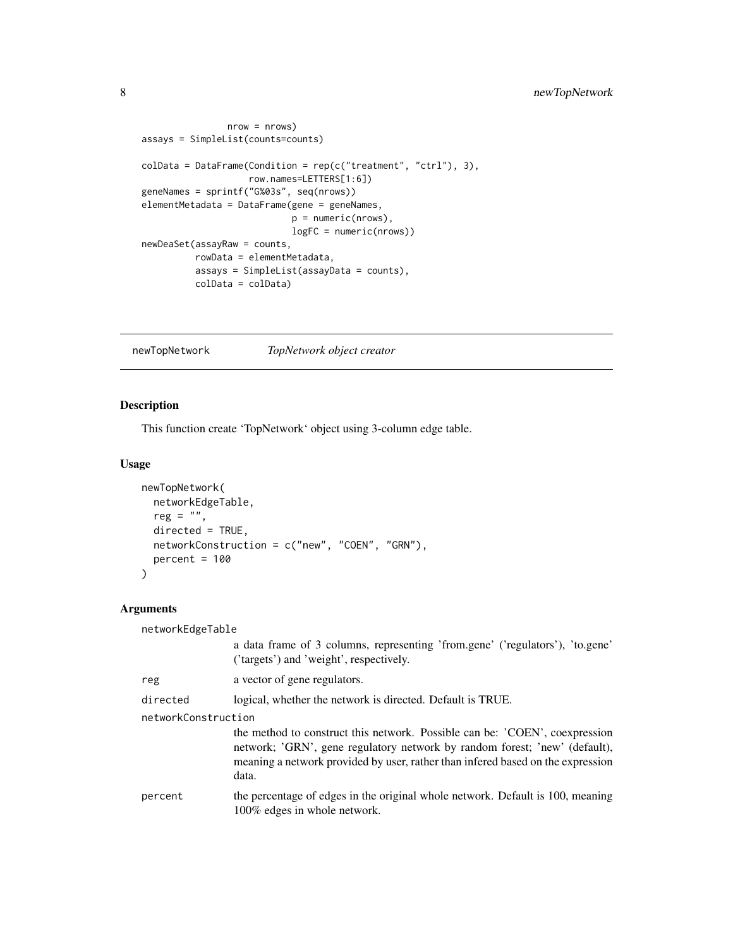```
nrow = nrows)
assays = SimpleList(counts=counts)
colData = DataFrame(Condition = rep(c("treatment", "ctrl"), 3),row.names=LETTERS[1:6])
geneNames = sprintf("G%03s", seq(nrows))
elementMetadata = DataFrame(gene = geneNames,
                            p = numeric(nrows),
                            logFC = numeric(nrows))
newDeaSet(assayRaw = counts,
         rowData = elementMetadata,
         assays = SimpleList(assayData = counts),
         colData = colData)
```
newTopNetwork *TopNetwork object creator*

# Description

This function create 'TopNetwork' object using 3-column edge table.

#### Usage

```
newTopNetwork(
 networkEdgeTable,
 reg = ",
  directed = TRUE,
 networkConstruction = c("new", "COEN", "GRN"),
 percent = 100\mathcal{L}
```
# Arguments

| networkEdgeTable    |                                                                                                                                                                                                                                                        |  |
|---------------------|--------------------------------------------------------------------------------------------------------------------------------------------------------------------------------------------------------------------------------------------------------|--|
|                     | a data frame of 3 columns, representing 'from.gene' ('regulators'), 'to.gene'<br>('targets') and 'weight', respectively.                                                                                                                               |  |
| reg                 | a vector of gene regulators.                                                                                                                                                                                                                           |  |
| directed            | logical, whether the network is directed. Default is TRUE.                                                                                                                                                                                             |  |
| networkConstruction |                                                                                                                                                                                                                                                        |  |
|                     | the method to construct this network. Possible can be: 'COEN', coexpression<br>network; 'GRN', gene regulatory network by random forest; 'new' (default),<br>meaning a network provided by user, rather than inferred based on the expression<br>data. |  |
| percent             | the percentage of edges in the original whole network. Default is 100, meaning<br>100% edges in whole network.                                                                                                                                         |  |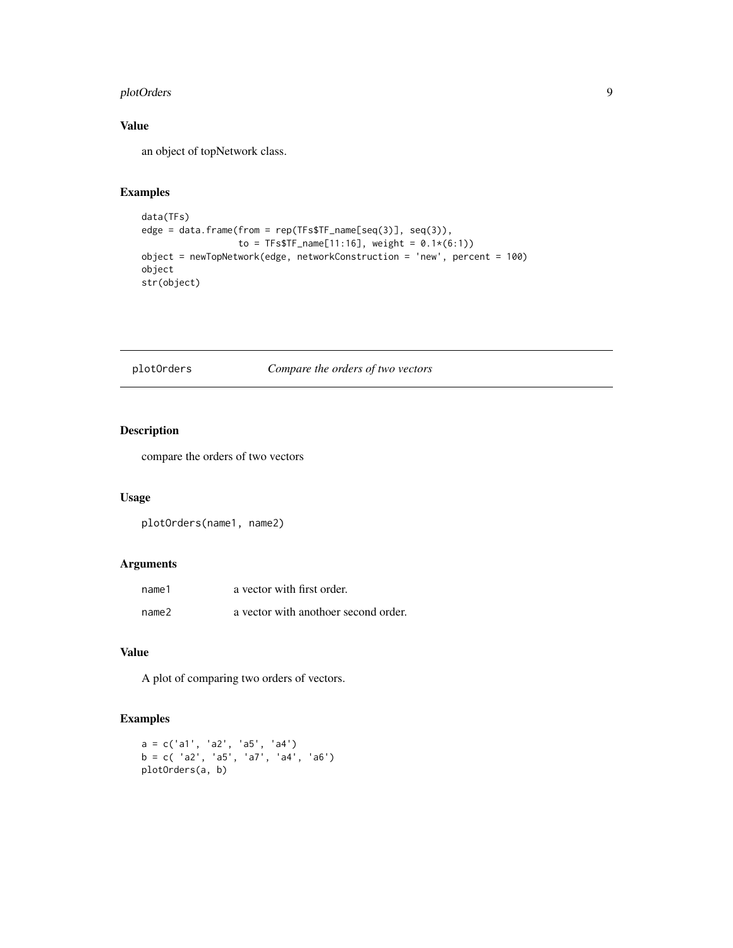# <span id="page-8-0"></span>plotOrders 9

# Value

an object of topNetwork class.

# Examples

```
data(TFs)
edge = data.frame(from = rep(TFs$TF_name[seq(3)], seq(3)),
                 to = TFs$TF_name[11:16], weight = 0.1*(6:1))
object = newTopNetwork(edge, networkConstruction = 'new', percent = 100)
object
str(object)
```
# plotOrders *Compare the orders of two vectors*

# Description

compare the orders of two vectors

### Usage

plotOrders(name1, name2)

# Arguments

| name1 | a vector with first order.           |
|-------|--------------------------------------|
| name2 | a vector with anothoer second order. |

# Value

A plot of comparing two orders of vectors.

```
a = c('a1', 'a2', 'a5', 'a4')b = c( 'a2', 'a5', 'a7', 'a4', 'a6')
plotOrders(a, b)
```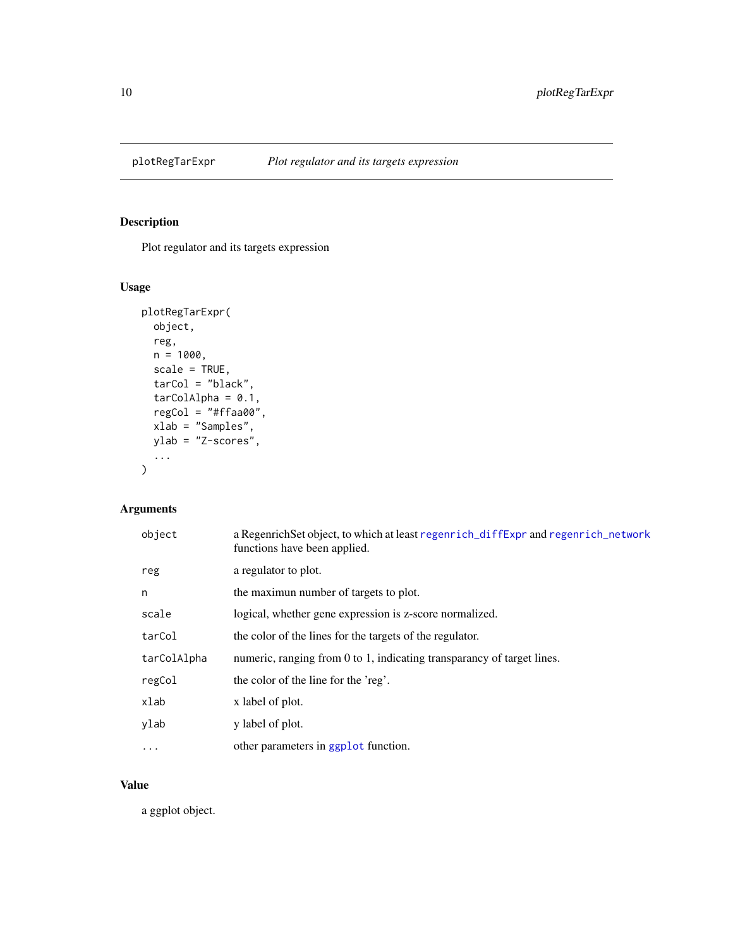<span id="page-9-0"></span>

# Description

Plot regulator and its targets expression

# Usage

```
plotRegTarExpr(
  object,
  reg,
  n = 1000,scale = TRUE,tarCol = "black",
  tarCollAlpha = 0.1,regCol = "#ffaa00",
  xlab = "Samples",
  ylab = "Z-scores",
  ...
)
```
# Arguments

| object      | a RegenrichSet object, to which at least regenrich_diffExpr and regenrich_network<br>functions have been applied. |
|-------------|-------------------------------------------------------------------------------------------------------------------|
| reg         | a regulator to plot.                                                                                              |
| n           | the maximum number of targets to plot.                                                                            |
| scale       | logical, whether gene expression is z-score normalized.                                                           |
| tarCol      | the color of the lines for the targets of the regulator.                                                          |
| tarColAlpha | numeric, ranging from 0 to 1, indicating transparancy of target lines.                                            |
| regCol      | the color of the line for the 'reg'.                                                                              |
| xlab        | x label of plot.                                                                                                  |
| ylab        | y label of plot.                                                                                                  |
| $\ddotsc$   | other parameters in ggplot function.                                                                              |

# Value

a ggplot object.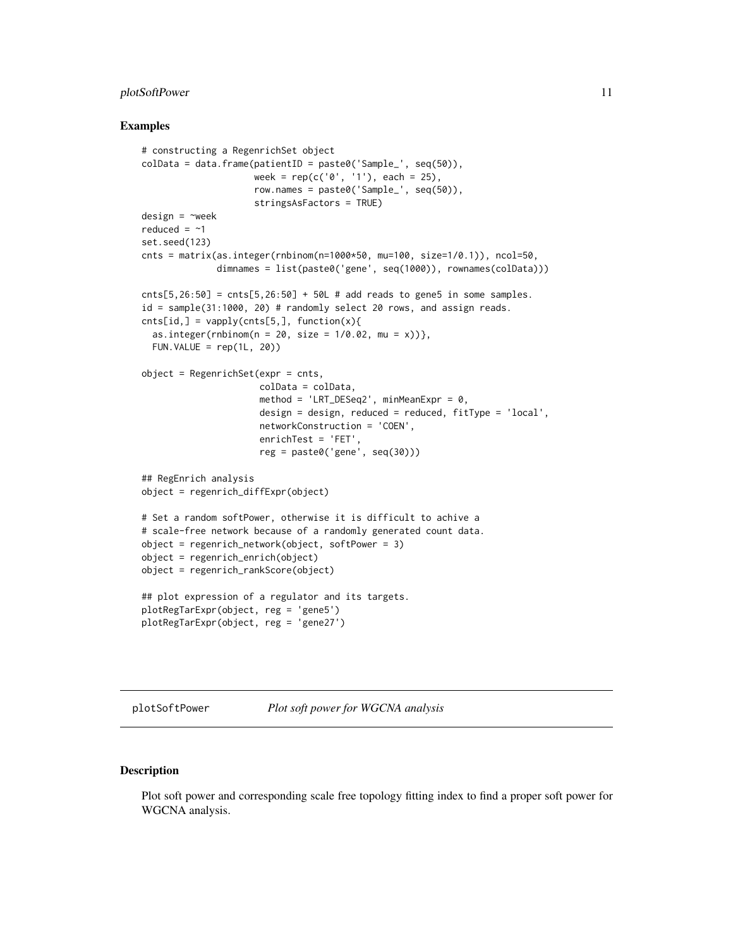#### <span id="page-10-0"></span>plotSoftPower 11

#### Examples

```
# constructing a RegenrichSet object
colData = data.frame(patientID = paste0('Sample_', seq(50)),
                     week = rep(c('0', '1'), each = 25),
                     row.names = paste0('Sample_', seq(50)),
                     stringsAsFactors = TRUE)
design = \simweek
reduced = ~1set.seed(123)
cnts = matrix(as.integer(rnbinom(n=1000*50, mu=100, size=1/0.1)), ncol=50,
              dimnames = list(paste0('gene', seq(1000)), rownames(colData)))
cnts[5,26:50] = cnts[5,26:50] + 50L # add reads to gene 5 in some samples.id = sample(31:1000, 20) # randomly select 20 rows, and assign reads.
cnts[id,] = vapply(cnts[5,], function(x)as.integer(rnbinom(n = 20, size = 1/0.02, mu = x))},
 FUN.VALUE = rep(1L, 20))
object = RegenrichSet(expr = cnts,
                      colData = colData,
                      method = 'LRT_DESeq2', minMeanExpr = 0,
                      design = design, reduced = reduced, fitType = 'local',
                      networkConstruction = 'COEN',
                      enrichTest = 'FET',
                      reg = paste0('gene', seq(30)))
## RegEnrich analysis
object = regenrich_diffExpr(object)
# Set a random softPower, otherwise it is difficult to achive a
# scale-free network because of a randomly generated count data.
object = regenrich_network(object, softPower = 3)
object = regenrich_enrich(object)
object = regenrich_rankScore(object)
## plot expression of a regulator and its targets.
plotRegTarExpr(object, reg = 'gene5')
plotRegTarExpr(object, reg = 'gene27')
```
<span id="page-10-1"></span>plotSoftPower *Plot soft power for WGCNA analysis*

#### Description

Plot soft power and corresponding scale free topology fitting index to find a proper soft power for WGCNA analysis.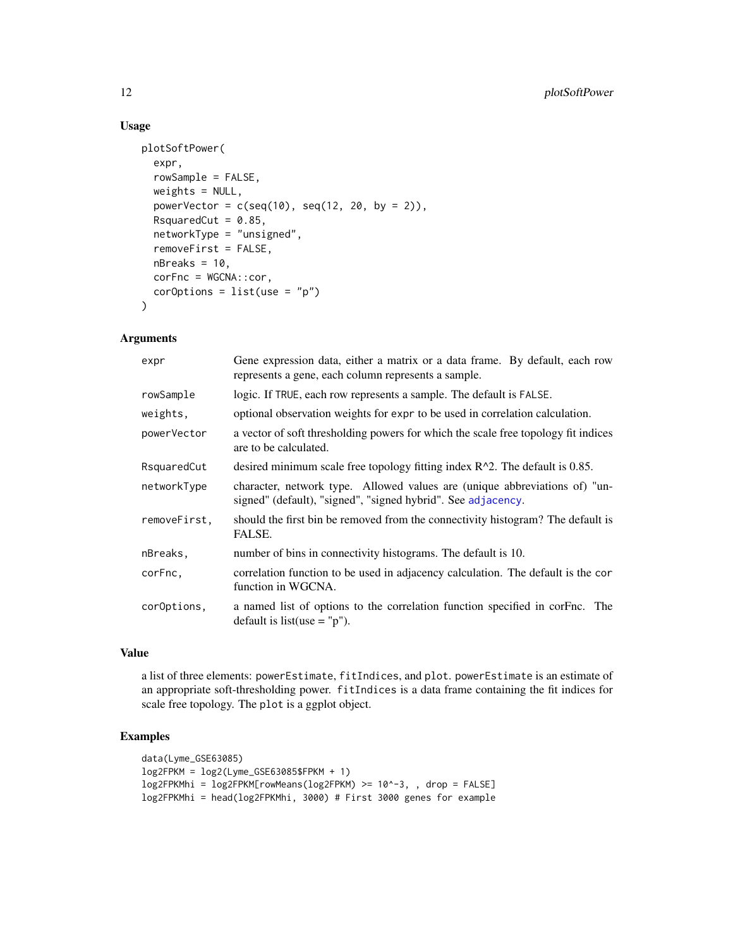# Usage

```
plotSoftPower(
  expr,
  rowSample = FALSE,
  weights = NULL,
  powerVector = c(\text{seq}(10), \text{seq}(12, 20, \text{ by } = 2)),RsquaredCut = 0.85,
  networkType = "unsigned",
  removeFirst = FALSE,
  nBreaks = 10,corFnc = WGCNA::cor,
  corOptions = list(use = "p")\lambda
```
#### Arguments

| expr         | Gene expression data, either a matrix or a data frame. By default, each row<br>represents a gene, each column represents a sample.         |
|--------------|--------------------------------------------------------------------------------------------------------------------------------------------|
| rowSample    | logic. If TRUE, each row represents a sample. The default is FALSE.                                                                        |
| weights,     | optional observation weights for expr to be used in correlation calculation.                                                               |
| powerVector  | a vector of soft thresholding powers for which the scale free topology fit indices<br>are to be calculated.                                |
| RsquaredCut  | desired minimum scale free topology fitting index $R^2$ . The default is 0.85.                                                             |
| networkType  | character, network type. Allowed values are (unique abbreviations of) "un-<br>signed" (default), "signed", "signed hybrid". See adjacency. |
| removeFirst, | should the first bin be removed from the connectivity histogram? The default is<br>FALSE.                                                  |
| nBreaks,     | number of bins in connectivity histograms. The default is 10.                                                                              |
| corFnc.      | correlation function to be used in adjacency calculation. The default is the cor<br>function in WGCNA.                                     |
| corOptions,  | a named list of options to the correlation function specified in corFnc. The<br>default is list(use $=$ "p").                              |

#### Value

a list of three elements: powerEstimate, fitIndices, and plot. powerEstimate is an estimate of an appropriate soft-thresholding power. fitIndices is a data frame containing the fit indices for scale free topology. The plot is a ggplot object.

```
data(Lyme_GSE63085)
log2FPKM = log2(Lyme_GSE63085$FPKM + 1)
log2FPKMhi = log2FPKM[rowMeans(log2FPKM) >= 10^-3, , drop = FALSE]
log2FPKMhi = head(log2FPKMhi, 3000) # First 3000 genes for example
```
<span id="page-11-0"></span>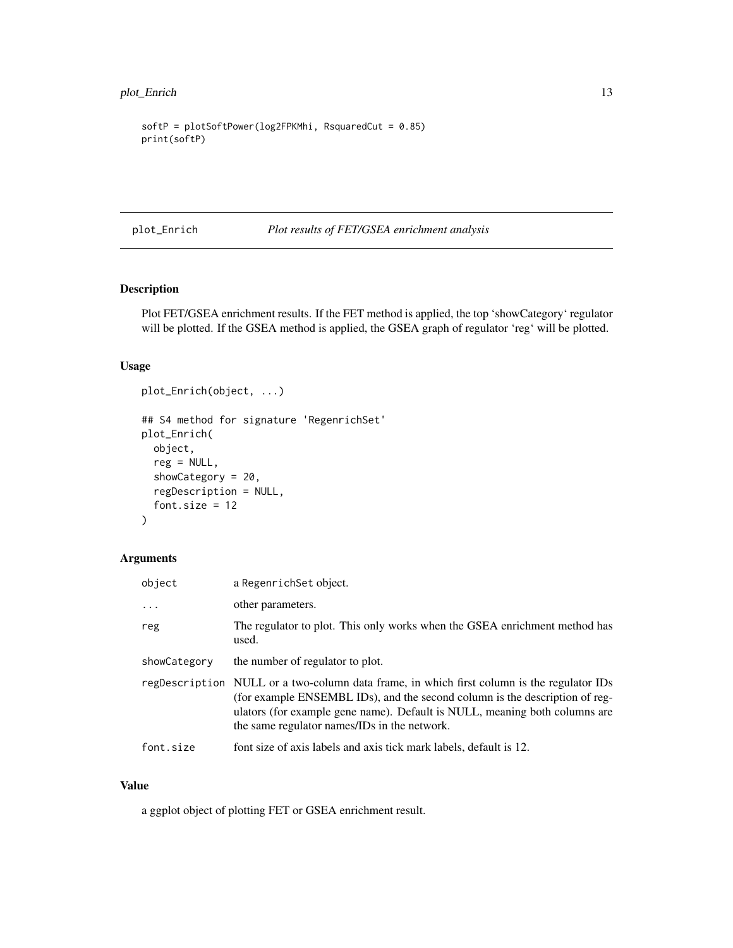```
softP = plotSoftPower(log2FPKMhi, RsquaredCut = 0.85)
print(softP)
```
plot\_Enrich *Plot results of FET/GSEA enrichment analysis*

# Description

Plot FET/GSEA enrichment results. If the FET method is applied, the top 'showCategory' regulator will be plotted. If the GSEA method is applied, the GSEA graph of regulator 'reg' will be plotted.

## Usage

```
plot_Enrich(object, ...)
## S4 method for signature 'RegenrichSet'
plot_Enrich(
 object,
 reg = NULL,
  showCategory = 20,
  regDescription = NULL,
  font.size = 12\mathcal{L}
```
# Arguments

| object       | a RegenrichSet object.                                                                                                                                                                                                                                                                                  |
|--------------|---------------------------------------------------------------------------------------------------------------------------------------------------------------------------------------------------------------------------------------------------------------------------------------------------------|
| $\ddots$ .   | other parameters.                                                                                                                                                                                                                                                                                       |
| reg          | The regulator to plot. This only works when the GSEA enrichment method has<br>used.                                                                                                                                                                                                                     |
| showCategory | the number of regulator to plot.                                                                                                                                                                                                                                                                        |
|              | regDescription NULL or a two-column data frame, in which first column is the regulator IDs<br>(for example ENSEMBL IDs), and the second column is the description of reg-<br>ulators (for example gene name). Default is NULL, meaning both columns are<br>the same regulator names/IDs in the network. |
| font.size    | font size of axis labels and axis tick mark labels, default is 12.                                                                                                                                                                                                                                      |

#### Value

a ggplot object of plotting FET or GSEA enrichment result.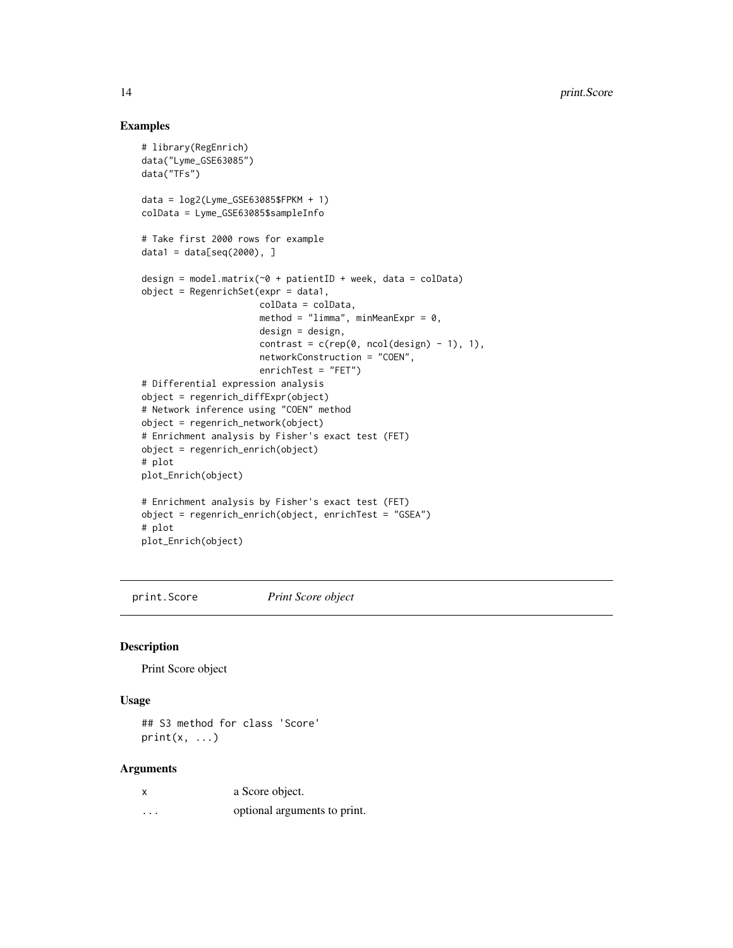### Examples

```
# library(RegEnrich)
data("Lyme_GSE63085")
data("TFs")
data = log2(Lyme_GSE63085$FPKM + 1)colData = Lyme_GSE63085$sampleInfo
# Take first 2000 rows for example
data1 = data[seq(2000), ]design = model.matrix(\sim 0 + patientID + week, data = colData)
object = RegenrichSet(expr = data1,
                      colData = colData,
                      method = "limma", minMeanExpr = 0,
                      design = design,
                      contrast = c(rep(\theta, ncol(design) - 1), 1),
                      networkConstruction = "COEN",
                      enrichTest = "FET")
# Differential expression analysis
object = regenrich_diffExpr(object)
# Network inference using "COEN" method
object = regenrich_network(object)
# Enrichment analysis by Fisher's exact test (FET)
object = regenrich_enrich(object)
# plot
plot_Enrich(object)
# Enrichment analysis by Fisher's exact test (FET)
object = regenrich_enrich(object, enrichTest = "GSEA")
# plot
plot_Enrich(object)
```
print.Score *Print Score object*

#### Description

Print Score object

#### Usage

## S3 method for class 'Score' print(x, ...)

# Arguments

|          | a Score object.              |
|----------|------------------------------|
| $\cdots$ | optional arguments to print. |

<span id="page-13-0"></span>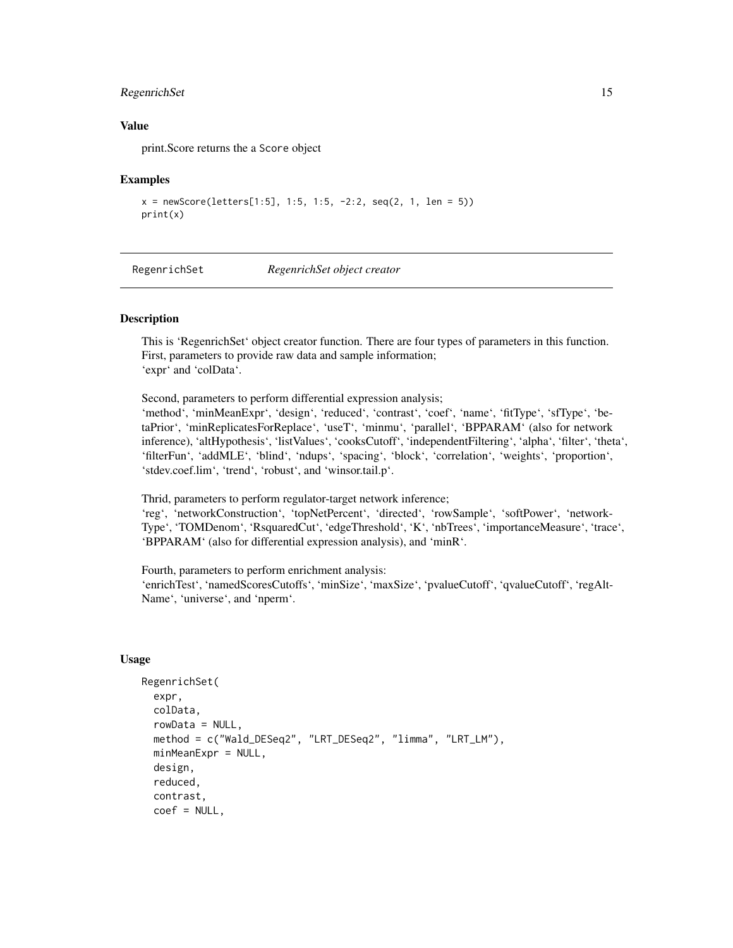# <span id="page-14-0"></span>RegenrichSet 15

#### Value

print.Score returns the a Score object

#### Examples

```
x = newScore(leftters[1:5], 1:5, 1:5, -2:2, seq(2, 1, len = 5))print(x)
```
<span id="page-14-1"></span>RegenrichSet *RegenrichSet object creator*

#### Description

This is 'RegenrichSet' object creator function. There are four types of parameters in this function. First, parameters to provide raw data and sample information; 'expr' and 'colData'.

Second, parameters to perform differential expression analysis; 'method', 'minMeanExpr', 'design', 'reduced', 'contrast', 'coef', 'name', 'fitType', 'sfType', 'betaPrior', 'minReplicatesForReplace', 'useT', 'minmu', 'parallel', 'BPPARAM' (also for network inference), 'altHypothesis', 'listValues', 'cooksCutoff', 'independentFiltering', 'alpha', 'filter', 'theta', 'filterFun', 'addMLE', 'blind', 'ndups', 'spacing', 'block', 'correlation', 'weights', 'proportion', 'stdev.coef.lim', 'trend', 'robust', and 'winsor.tail.p'.

Thrid, parameters to perform regulator-target network inference;

'reg', 'networkConstruction', 'topNetPercent', 'directed', 'rowSample', 'softPower', 'network-Type', 'TOMDenom', 'RsquaredCut', 'edgeThreshold', 'K', 'nbTrees', 'importanceMeasure', 'trace', 'BPPARAM' (also for differential expression analysis), and 'minR'.

Fourth, parameters to perform enrichment analysis:

'enrichTest', 'namedScoresCutoffs', 'minSize', 'maxSize', 'pvalueCutoff', 'qvalueCutoff', 'regAlt-Name', 'universe', and 'nperm'.

#### Usage

```
RegenrichSet(
  expr,
  colData,
  rowData = NULL,
 method = c("Wald_DESeq2", "LRT_DESeq2", "limma", "LRT_LM"),
 minMeanExpr = NULL,
  design,
  reduced,
  contrast,
  coef = NULL,
```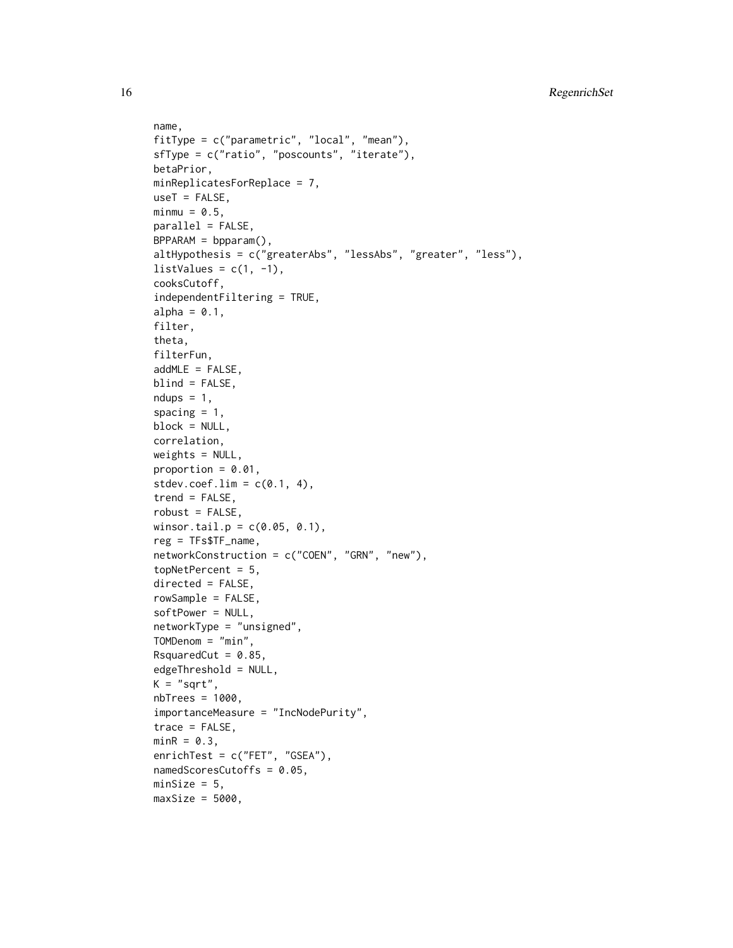```
name,
fitType = c("parametric", "local", "mean"),
sfType = c("ratio", "poscounts", "iterate"),
betaPrior,
minReplicatesForReplace = 7,
useT = FALSE,minmu = 0.5,
parallel = FALSE,
BPPARAM = bpparam(),
altHypothesis = c("greaterAbs", "lessAbs", "greater", "less"),
listValues = c(1, -1),
cooksCutoff,
independentFiltering = TRUE,
alpha = 0.1,
filter,
theta,
filterFun,
addMLE = FALSE,blind = FALSE,
ndups = 1,
spacing = 1,
block = NULL,
correlation,
weights = NULL,proportion = 0.01,
stdev.coef.lim = c(0.1, 4),
trend = FALSE,robust = FALSE,
winsor.tail.p = c(0.05, 0.1),
reg = TFs$TF_name,
networkConstruction = c("COEN", "GRN", "new"),
topNetPercent = 5,
directed = FALSE,
rowSample = FALSE,
softPower = NULL,
networkType = "unsigned",
TOMDenom = "min",
RsquaredCut = 0.85,
edgeThreshold = NULL,
K = "sqrt",nbTrees = 1000,importanceMeasure = "IncNodePurity",
trace = FALSE,minR = 0.3,
enrichTest = c("FET", "GSEA"),
namedScoresCutoffs = 0.05,
minSize = 5,
maxSize = 5000,
```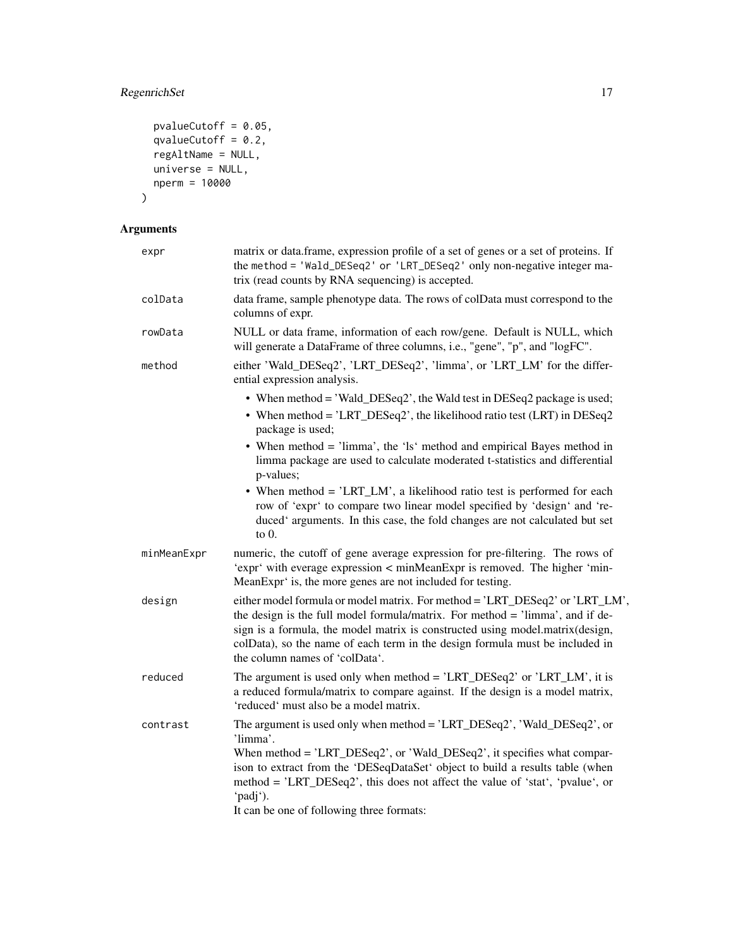# RegenrichSet 17

```
pvalueCutoff = 0.05,
  qvalueCutoff = 0.2,
 regAltName = NULL,
 universe = NULL,
 nperm = 10000
\mathcal{L}
```
# Arguments

| expr        | matrix or data.frame, expression profile of a set of genes or a set of proteins. If<br>the method = 'Wald_DESeq2' or 'LRT_DESeq2' only non-negative integer ma-<br>trix (read counts by RNA sequencing) is accepted.                                                                                                                                                                      |
|-------------|-------------------------------------------------------------------------------------------------------------------------------------------------------------------------------------------------------------------------------------------------------------------------------------------------------------------------------------------------------------------------------------------|
| colData     | data frame, sample phenotype data. The rows of colData must correspond to the<br>columns of expr.                                                                                                                                                                                                                                                                                         |
| rowData     | NULL or data frame, information of each row/gene. Default is NULL, which<br>will generate a DataFrame of three columns, i.e., "gene", "p", and "logFC".                                                                                                                                                                                                                                   |
| method      | either 'Wald_DESeq2', 'LRT_DESeq2', 'limma', or 'LRT_LM' for the differ-<br>ential expression analysis.                                                                                                                                                                                                                                                                                   |
|             | • When method = 'Wald_DESeq2', the Wald test in DESeq2 package is used;<br>• When method = 'LRT_DESeq2', the likelihood ratio test (LRT) in DESeq2<br>package is used;                                                                                                                                                                                                                    |
|             | • When method = 'limma', the 'ls' method and empirical Bayes method in<br>limma package are used to calculate moderated t-statistics and differential<br>p-values;                                                                                                                                                                                                                        |
|             | • When method = 'LRT_LM', a likelihood ratio test is performed for each<br>row of 'expr' to compare two linear model specified by 'design' and 're-<br>duced' arguments. In this case, the fold changes are not calculated but set<br>to $0$ .                                                                                                                                            |
| minMeanExpr | numeric, the cutoff of gene average expression for pre-filtering. The rows of<br>'expr' with everage expression < minMeanExpr is removed. The higher 'min-<br>MeanExpr' is, the more genes are not included for testing.                                                                                                                                                                  |
| design      | either model formula or model matrix. For method = 'LRT_DESeq2' or 'LRT_LM',<br>the design is the full model formula/matrix. For method = 'limma', and if de-<br>sign is a formula, the model matrix is constructed using model.matrix(design,<br>colData), so the name of each term in the design formula must be included in<br>the column names of 'colData'.                          |
| reduced     | The argument is used only when method = 'LRT_DESeq2' or 'LRT_LM', it is<br>a reduced formula/matrix to compare against. If the design is a model matrix,<br>'reduced' must also be a model matrix.                                                                                                                                                                                        |
| contrast    | The argument is used only when method = 'LRT_DESeq2', 'Wald_DESeq2', or<br>'limma'.<br>When method = 'LRT_DESeq2', or 'Wald_DESeq2', it specifies what compar-<br>ison to extract from the 'DESeqDataSet' object to build a results table (when<br>method = 'LRT_DESeq2', this does not affect the value of 'stat', 'pvalue', or<br>'padj').<br>It can be one of following three formats: |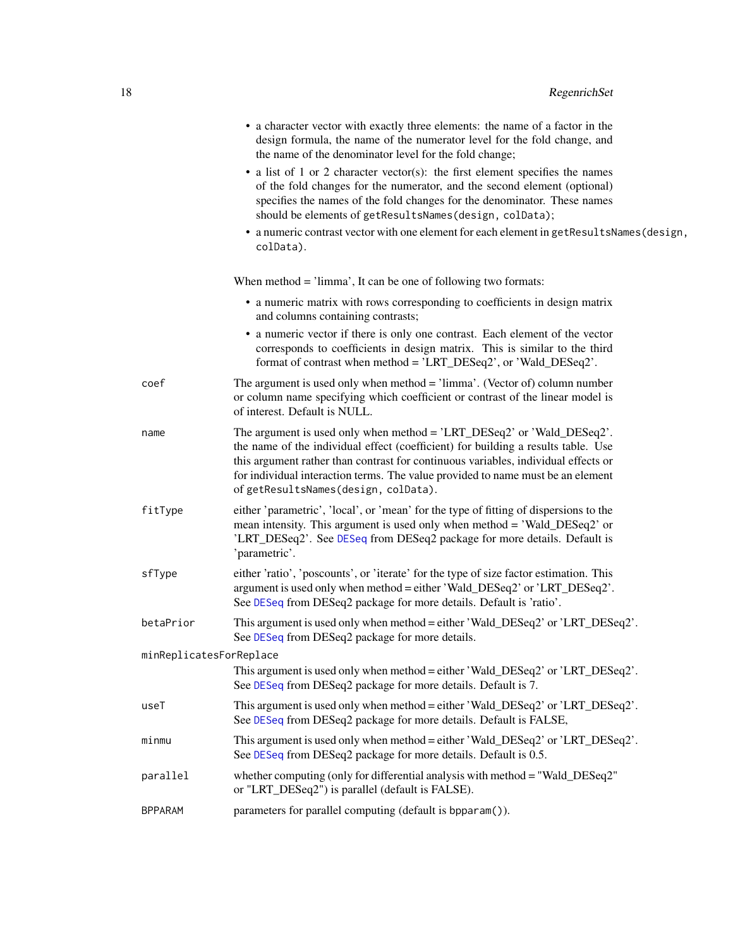<span id="page-17-0"></span>

|                | • a character vector with exactly three elements: the name of a factor in the<br>design formula, the name of the numerator level for the fold change, and<br>the name of the denominator level for the fold change;                                                                                                                                                          |  |
|----------------|------------------------------------------------------------------------------------------------------------------------------------------------------------------------------------------------------------------------------------------------------------------------------------------------------------------------------------------------------------------------------|--|
|                | • a list of 1 or 2 character vector(s): the first element specifies the names<br>of the fold changes for the numerator, and the second element (optional)<br>specifies the names of the fold changes for the denominator. These names<br>should be elements of getResultsNames(design, colData);                                                                             |  |
|                | • a numeric contrast vector with one element for each element in getResultsNames (design,<br>colData).                                                                                                                                                                                                                                                                       |  |
|                | When method $=$ 'limma', It can be one of following two formats:                                                                                                                                                                                                                                                                                                             |  |
|                | • a numeric matrix with rows corresponding to coefficients in design matrix<br>and columns containing contrasts;                                                                                                                                                                                                                                                             |  |
|                | • a numeric vector if there is only one contrast. Each element of the vector<br>corresponds to coefficients in design matrix. This is similar to the third<br>format of contrast when method = 'LRT_DESeq2', or 'Wald_DESeq2'.                                                                                                                                               |  |
| coef           | The argument is used only when method $=$ 'limma'. (Vector of) column number<br>or column name specifying which coefficient or contrast of the linear model is<br>of interest. Default is NULL.                                                                                                                                                                              |  |
| name           | The argument is used only when method = 'LRT_DESeq2' or 'Wald_DESeq2'.<br>the name of the individual effect (coefficient) for building a results table. Use<br>this argument rather than contrast for continuous variables, individual effects or<br>for individual interaction terms. The value provided to name must be an element<br>of getResultsNames(design, colData). |  |
| fitType        | either 'parametric', 'local', or 'mean' for the type of fitting of dispersions to the<br>mean intensity. This argument is used only when method = 'Wald_DESeq2' or<br>'LRT_DESeq2'. See DESeq from DESeq2 package for more details. Default is<br>'parametric'.                                                                                                              |  |
| sfType         | either 'ratio', 'poscounts', or 'iterate' for the type of size factor estimation. This<br>argument is used only when method = either 'Wald_DESeq2' or 'LRT_DESeq2'.<br>See DESeq from DESeq2 package for more details. Default is 'ratio'.                                                                                                                                   |  |
| betaPrior      | This argument is used only when method = either 'Wald_DESeq2' or 'LRT_DESeq2'.<br>See DESeq from DESeq2 package for more details.                                                                                                                                                                                                                                            |  |
|                | minReplicatesForReplace                                                                                                                                                                                                                                                                                                                                                      |  |
|                | This argument is used only when method = either 'Wald_DESeq2' or 'LRT_DESeq2'.<br>See DESeq from DESeq2 package for more details. Default is 7.                                                                                                                                                                                                                              |  |
| useT           | This argument is used only when method = either 'Wald_DESeq2' or 'LRT_DESeq2'.<br>See DESeq from DESeq2 package for more details. Default is FALSE,                                                                                                                                                                                                                          |  |
| minmu          | This argument is used only when method = either 'Wald_DESeq2' or 'LRT_DESeq2'.<br>See DESeq from DESeq2 package for more details. Default is 0.5.                                                                                                                                                                                                                            |  |
| parallel       | whether computing (only for differential analysis with method = "Wald_DESeq2"<br>or "LRT_DESeq2") is parallel (default is FALSE).                                                                                                                                                                                                                                            |  |
| <b>BPPARAM</b> | parameters for parallel computing (default is bpparam()).                                                                                                                                                                                                                                                                                                                    |  |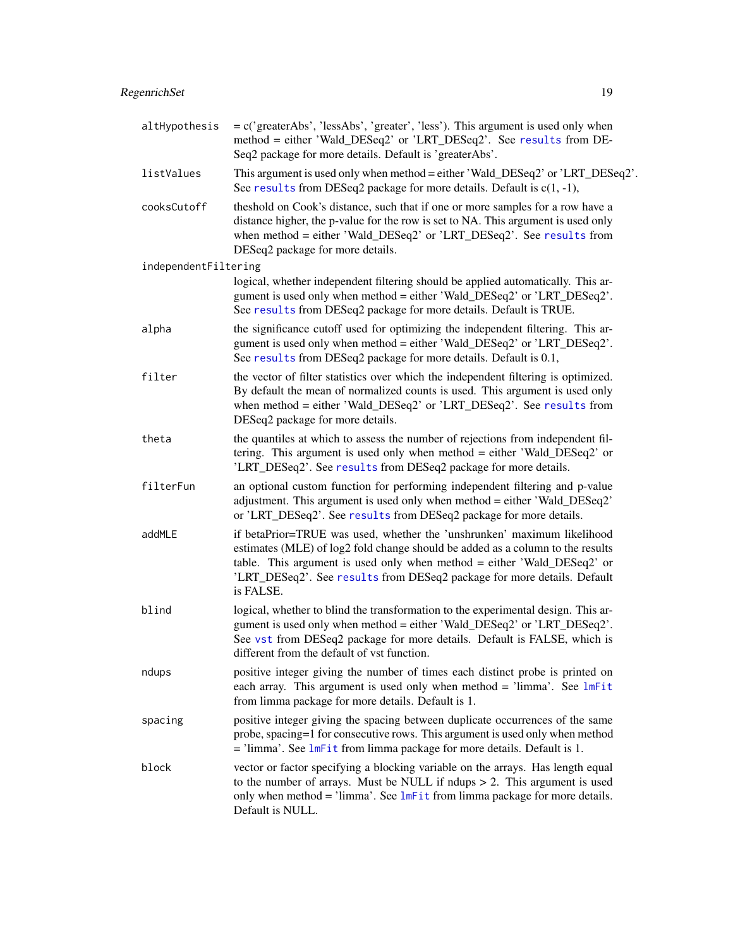<span id="page-18-0"></span>

| altHypothesis        | = c('greaterAbs', 'lessAbs', 'greater', 'less'). This argument is used only when<br>method = either 'Wald_DESeq2' or 'LRT_DESeq2'. See results from DE-<br>Seq2 package for more details. Default is 'greaterAbs'.                                                                                                           |
|----------------------|------------------------------------------------------------------------------------------------------------------------------------------------------------------------------------------------------------------------------------------------------------------------------------------------------------------------------|
| listValues           | This argument is used only when method = either 'Wald_DESeq2' or 'LRT_DESeq2'.<br>See results from DESeq2 package for more details. Default is $c(1, -1)$ ,                                                                                                                                                                  |
| cooksCutoff          | theshold on Cook's distance, such that if one or more samples for a row have a<br>distance higher, the p-value for the row is set to NA. This argument is used only<br>when method = either 'Wald_DESeq2' or 'LRT_DESeq2'. See results from<br>DESeq2 package for more details.                                              |
| independentFiltering |                                                                                                                                                                                                                                                                                                                              |
|                      | logical, whether independent filtering should be applied automatically. This ar-<br>gument is used only when method = either 'Wald_DESeq2' or 'LRT_DESeq2'.<br>See results from DESeq2 package for more details. Default is TRUE.                                                                                            |
| alpha                | the significance cutoff used for optimizing the independent filtering. This ar-<br>gument is used only when method = either 'Wald_DESeq2' or 'LRT_DESeq2'.<br>See results from DESeq2 package for more details. Default is 0.1,                                                                                              |
| filter               | the vector of filter statistics over which the independent filtering is optimized.<br>By default the mean of normalized counts is used. This argument is used only<br>when method = either 'Wald_DESeq2' or 'LRT_DESeq2'. See results from<br>DESeq2 package for more details.                                               |
| theta                | the quantiles at which to assess the number of rejections from independent fil-<br>tering. This argument is used only when method = either 'Wald_DESeq2' or<br>'LRT_DESeq2'. See results from DESeq2 package for more details.                                                                                               |
| filterFun            | an optional custom function for performing independent filtering and p-value<br>adjustment. This argument is used only when method = either 'Wald_DESeq2'<br>or 'LRT_DESeq2'. See results from DESeq2 package for more details.                                                                                              |
| addMLE               | if betaPrior=TRUE was used, whether the 'unshrunken' maximum likelihood<br>estimates (MLE) of log2 fold change should be added as a column to the results<br>table. This argument is used only when method = either 'Wald_DESeq2' or<br>'LRT_DESeq2'. See results from DESeq2 package for more details. Default<br>is FALSE. |
| blind                | logical, whether to blind the transformation to the experimental design. This ar-<br>gument is used only when method = either 'Wald_DESeq2' or 'LRT_DESeq2'.<br>See vst from DESeq2 package for more details. Default is FALSE, which is<br>different from the default of vst function.                                      |
| ndups                | positive integer giving the number of times each distinct probe is printed on<br>each array. This argument is used only when method = 'limma'. See $lmFit$<br>from limma package for more details. Default is 1.                                                                                                             |
| spacing              | positive integer giving the spacing between duplicate occurrences of the same<br>probe, spacing=1 for consecutive rows. This argument is used only when method<br>$=$ 'limma'. See $lmFit$ from limma package for more details. Default is 1.                                                                                |
| block                | vector or factor specifying a blocking variable on the arrays. Has length equal<br>to the number of arrays. Must be NULL if ndups $> 2$ . This argument is used<br>only when method = 'limma'. See $lmFit$ from limma package for more details.<br>Default is NULL.                                                          |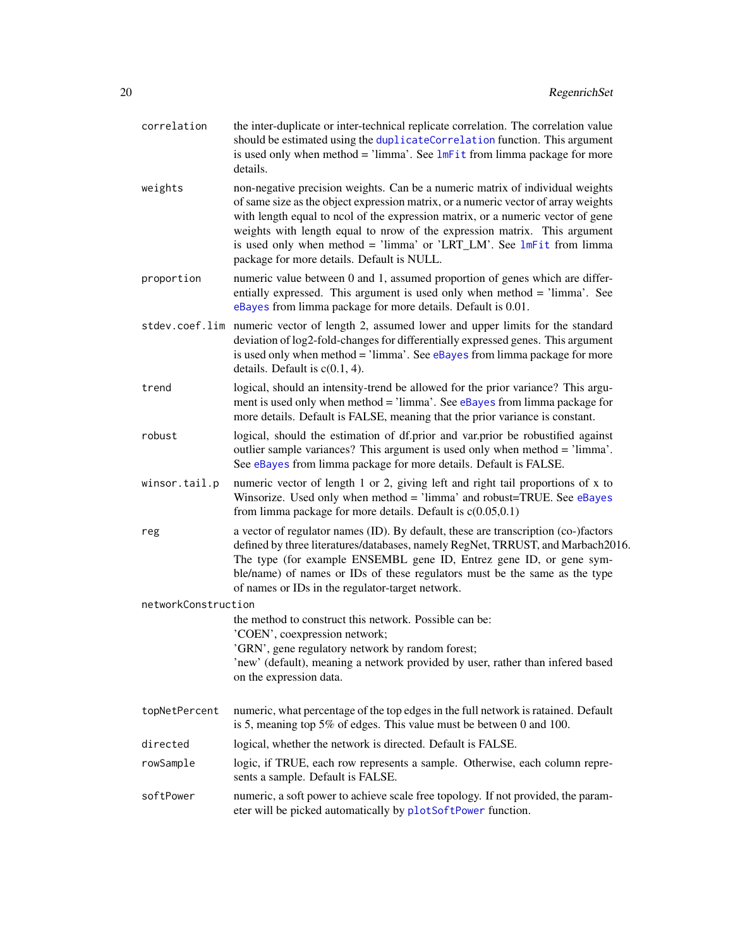<span id="page-19-0"></span>

| correlation         | the inter-duplicate or inter-technical replicate correlation. The correlation value<br>should be estimated using the duplicateCorrelation function. This argument<br>is used only when method = 'limma'. See $lmFit$ from limma package for more<br>details.                                                                                                                                                                                                |
|---------------------|-------------------------------------------------------------------------------------------------------------------------------------------------------------------------------------------------------------------------------------------------------------------------------------------------------------------------------------------------------------------------------------------------------------------------------------------------------------|
| weights             | non-negative precision weights. Can be a numeric matrix of individual weights<br>of same size as the object expression matrix, or a numeric vector of array weights<br>with length equal to ncol of the expression matrix, or a numeric vector of gene<br>weights with length equal to nrow of the expression matrix. This argument<br>is used only when method = 'limma' or 'LRT_LM'. See $lmFit$ from limma<br>package for more details. Default is NULL. |
| proportion          | numeric value between 0 and 1, assumed proportion of genes which are differ-<br>entially expressed. This argument is used only when method = 'limma'. See<br>eBayes from limma package for more details. Default is 0.01.                                                                                                                                                                                                                                   |
|                     | stdev.coef.lim numeric vector of length 2, assumed lower and upper limits for the standard<br>deviation of log2-fold-changes for differentially expressed genes. This argument<br>is used only when method = 'limma'. See eBayes from limma package for more<br>details. Default is $c(0.1, 4)$ .                                                                                                                                                           |
| trend               | logical, should an intensity-trend be allowed for the prior variance? This argu-<br>ment is used only when method = 'limma'. See eBayes from limma package for<br>more details. Default is FALSE, meaning that the prior variance is constant.                                                                                                                                                                                                              |
| robust              | logical, should the estimation of df.prior and var.prior be robustified against<br>outlier sample variances? This argument is used only when method = 'limma'.<br>See eBayes from limma package for more details. Default is FALSE.                                                                                                                                                                                                                         |
| winsor.tail.p       | numeric vector of length 1 or 2, giving left and right tail proportions of x to<br>Winsorize. Used only when method $=$ 'limma' and robust=TRUE. See eBayes<br>from limma package for more details. Default is $c(0.05,0.1)$                                                                                                                                                                                                                                |
| reg                 | a vector of regulator names (ID). By default, these are transcription (co-)factors<br>defined by three literatures/databases, namely RegNet, TRRUST, and Marbach2016.<br>The type (for example ENSEMBL gene ID, Entrez gene ID, or gene sym-<br>ble/name) of names or IDs of these regulators must be the same as the type<br>of names or IDs in the regulator-target network.                                                                              |
| networkConstruction |                                                                                                                                                                                                                                                                                                                                                                                                                                                             |
|                     | the method to construct this network. Possible can be:<br>'COEN', coexpression network;<br>'GRN', gene regulatory network by random forest;<br>'new' (default), meaning a network provided by user, rather than infered based<br>on the expression data.                                                                                                                                                                                                    |
| topNetPercent       | numeric, what percentage of the top edges in the full network is ratained. Default<br>is 5, meaning top 5% of edges. This value must be between 0 and 100.                                                                                                                                                                                                                                                                                                  |
| directed            | logical, whether the network is directed. Default is FALSE.                                                                                                                                                                                                                                                                                                                                                                                                 |
| rowSample           | logic, if TRUE, each row represents a sample. Otherwise, each column repre-<br>sents a sample. Default is FALSE.                                                                                                                                                                                                                                                                                                                                            |
| softPower           | numeric, a soft power to achieve scale free topology. If not provided, the param-<br>eter will be picked automatically by plotSoftPower function.                                                                                                                                                                                                                                                                                                           |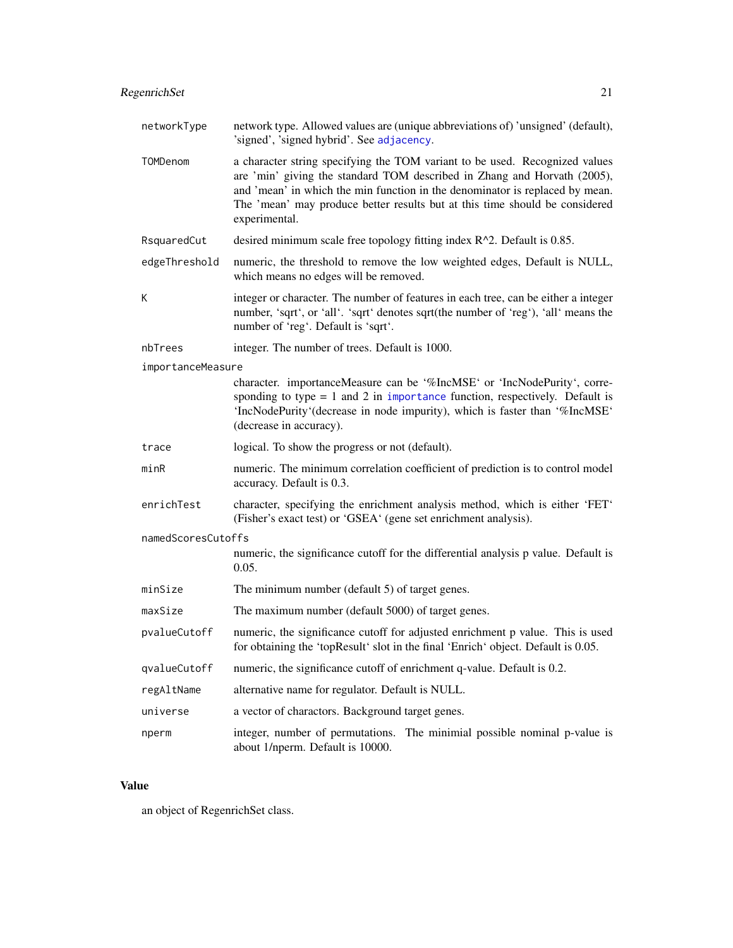<span id="page-20-0"></span>

| networkType        | network type. Allowed values are (unique abbreviations of) 'unsigned' (default),<br>'signed', 'signed hybrid'. See adjacency.                                                                                                                                                                                                           |  |
|--------------------|-----------------------------------------------------------------------------------------------------------------------------------------------------------------------------------------------------------------------------------------------------------------------------------------------------------------------------------------|--|
| TOMDenom           | a character string specifying the TOM variant to be used. Recognized values<br>are 'min' giving the standard TOM described in Zhang and Horvath (2005),<br>and 'mean' in which the min function in the denominator is replaced by mean.<br>The 'mean' may produce better results but at this time should be considered<br>experimental. |  |
| RsquaredCut        | desired minimum scale free topology fitting index $R^2$ . Default is 0.85.                                                                                                                                                                                                                                                              |  |
| edgeThreshold      | numeric, the threshold to remove the low weighted edges, Default is NULL,<br>which means no edges will be removed.                                                                                                                                                                                                                      |  |
| К                  | integer or character. The number of features in each tree, can be either a integer<br>number, 'sqrt', or 'all'. 'sqrt' denotes sqrt(the number of 'reg'), 'all' means the<br>number of 'reg'. Default is 'sqrt'.                                                                                                                        |  |
| nbTrees            | integer. The number of trees. Default is 1000.                                                                                                                                                                                                                                                                                          |  |
| importanceMeasure  |                                                                                                                                                                                                                                                                                                                                         |  |
|                    | character. importanceMeasure can be '%IncMSE' or 'IncNodePurity', corre-<br>sponding to type $= 1$ and 2 in importance function, respectively. Default is<br>'IncNodePurity'(decrease in node impurity), which is faster than '%IncMSE'<br>(decrease in accuracy).                                                                      |  |
| trace              | logical. To show the progress or not (default).                                                                                                                                                                                                                                                                                         |  |
| minR               | numeric. The minimum correlation coefficient of prediction is to control model<br>accuracy. Default is 0.3.                                                                                                                                                                                                                             |  |
| enrichTest         | character, specifying the enrichment analysis method, which is either 'FET'<br>(Fisher's exact test) or 'GSEA' (gene set enrichment analysis).                                                                                                                                                                                          |  |
| namedScoresCutoffs |                                                                                                                                                                                                                                                                                                                                         |  |
|                    | numeric, the significance cutoff for the differential analysis p value. Default is<br>0.05.                                                                                                                                                                                                                                             |  |
| minSize            | The minimum number (default 5) of target genes.                                                                                                                                                                                                                                                                                         |  |
| maxSize            | The maximum number (default 5000) of target genes.                                                                                                                                                                                                                                                                                      |  |
| pvalueCutoff       | numeric, the significance cutoff for adjusted enrichment p value. This is used<br>for obtaining the 'topResult' slot in the final 'Enrich' object. Default is 0.05.                                                                                                                                                                     |  |
| qvalueCutoff       | numeric, the significance cutoff of enrichment q-value. Default is 0.2.                                                                                                                                                                                                                                                                 |  |
| regAltName         | alternative name for regulator. Default is NULL.                                                                                                                                                                                                                                                                                        |  |
| universe           | a vector of charactors. Background target genes.                                                                                                                                                                                                                                                                                        |  |
| nperm              | integer, number of permutations. The minimial possible nominal p-value is<br>about 1/nperm. Default is 10000.                                                                                                                                                                                                                           |  |

# Value

an object of RegenrichSet class.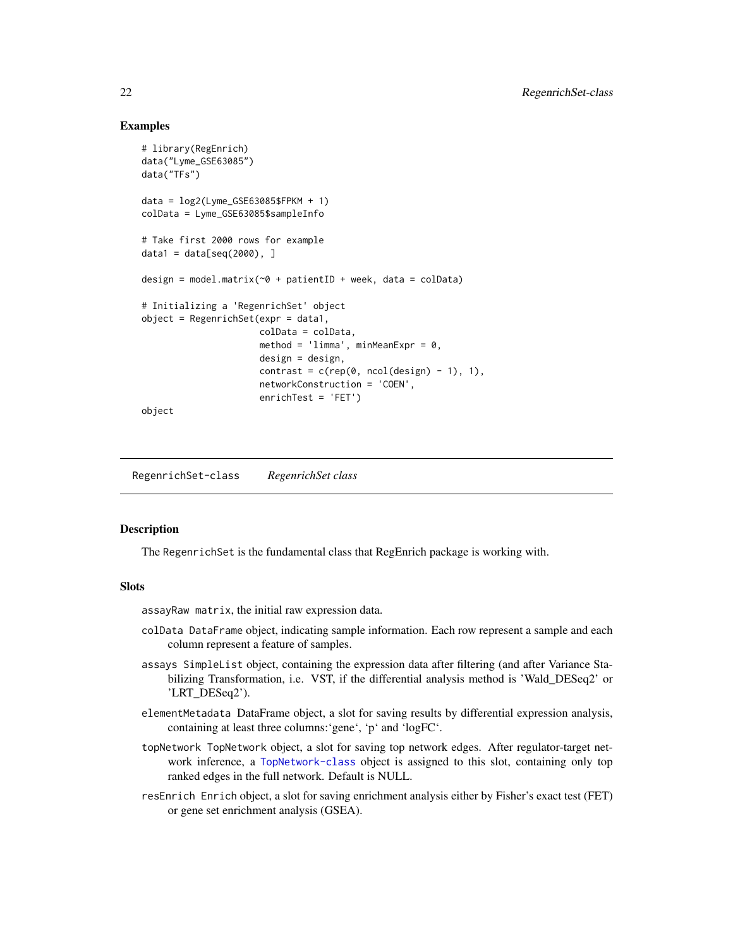#### Examples

```
# library(RegEnrich)
data("Lyme_GSE63085")
data("TFs")
data = log2(Lyme_GSE63085$FPKM + 1)
colData = Lyme_GSE63085$sampleInfo
# Take first 2000 rows for example
data1 = data[seq(2000), ]design = model.matrix(~0 + patientID + week, data = colData)
# Initializing a 'RegenrichSet' object
object = RegenrichSet(expr = data1,
                      colData = colData,
                      method = 'limma', minMeanExpr = 0,
                      design = design,
                      contrast = c(rep(\theta, neo1(design) - 1), 1),networkConstruction = 'COEN',
                      enrichTest = 'FET')
```
object

RegenrichSet-class *RegenrichSet class*

#### **Description**

The RegenrichSet is the fundamental class that RegEnrich package is working with.

#### Slots

assayRaw matrix, the initial raw expression data.

- colData DataFrame object, indicating sample information. Each row represent a sample and each column represent a feature of samples.
- assays SimpleList object, containing the expression data after filtering (and after Variance Stabilizing Transformation, i.e. VST, if the differential analysis method is 'Wald\_DESeq2' or 'LRT\_DESeq2').
- elementMetadata DataFrame object, a slot for saving results by differential expression analysis, containing at least three columns:'gene', 'p' and 'logFC'.
- topNetwork TopNetwork object, a slot for saving top network edges. After regulator-target network inference, a [TopNetwork-class](#page-32-1) object is assigned to this slot, containing only top ranked edges in the full network. Default is NULL.
- resEnrich Enrich object, a slot for saving enrichment analysis either by Fisher's exact test (FET) or gene set enrichment analysis (GSEA).

<span id="page-21-0"></span>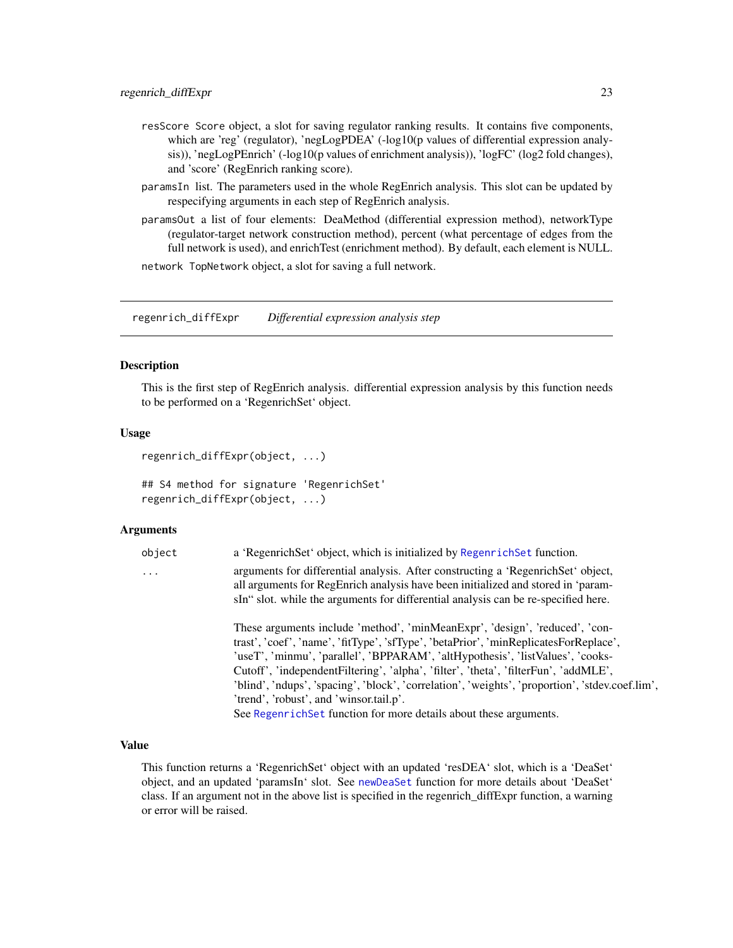- <span id="page-22-0"></span>resScore Score object, a slot for saving regulator ranking results. It contains five components, which are 'reg' (regulator), 'negLogPDEA' (-log10(p values of differential expression analysis)), 'negLogPEnrich' (-log10(p values of enrichment analysis)), 'logFC' (log2 fold changes), and 'score' (RegEnrich ranking score).
- paramsIn list. The parameters used in the whole RegEnrich analysis. This slot can be updated by respecifying arguments in each step of RegEnrich analysis.
- paramsOut a list of four elements: DeaMethod (differential expression method), networkType (regulator-target network construction method), percent (what percentage of edges from the full network is used), and enrichTest (enrichment method). By default, each element is NULL.

network TopNetwork object, a slot for saving a full network.

<span id="page-22-1"></span>regenrich\_diffExpr *Differential expression analysis step*

#### Description

This is the first step of RegEnrich analysis. differential expression analysis by this function needs to be performed on a 'RegenrichSet' object.

#### Usage

```
regenrich_diffExpr(object, ...)
```
## S4 method for signature 'RegenrichSet' regenrich\_diffExpr(object, ...)

#### Arguments

| obiect                  | a 'Regenrich Set' object, which is initialized by Regenrich Set function.          |
|-------------------------|------------------------------------------------------------------------------------|
| $\cdot$ $\cdot$ $\cdot$ | arguments for differential analysis. After constructing a 'RegenrichSet' object,   |
|                         | all arguments for RegEnrich analysis have been initialized and stored in 'param-   |
|                         | sIn" slot. while the arguments for differential analysis can be re-specified here. |

These arguments include 'method', 'minMeanExpr', 'design', 'reduced', 'contrast', 'coef', 'name', 'fitType', 'sfType', 'betaPrior', 'minReplicatesForReplace', 'useT', 'minmu', 'parallel', 'BPPARAM', 'altHypothesis', 'listValues', 'cooks-Cutoff', 'independentFiltering', 'alpha', 'filter', 'theta', 'filterFun', 'addMLE', 'blind', 'ndups', 'spacing', 'block', 'correlation', 'weights', 'proportion', 'stdev.coef.lim', 'trend', 'robust', and 'winsor.tail.p'. See Regenrich Set function for more details about these arguments.

#### Value

This function returns a 'RegenrichSet' object with an updated 'resDEA' slot, which is a 'DeaSet' object, and an updated 'paramsIn' slot. See [newDeaSet](#page-6-1) function for more details about 'DeaSet' class. If an argument not in the above list is specified in the regenrich\_diffExpr function, a warning or error will be raised.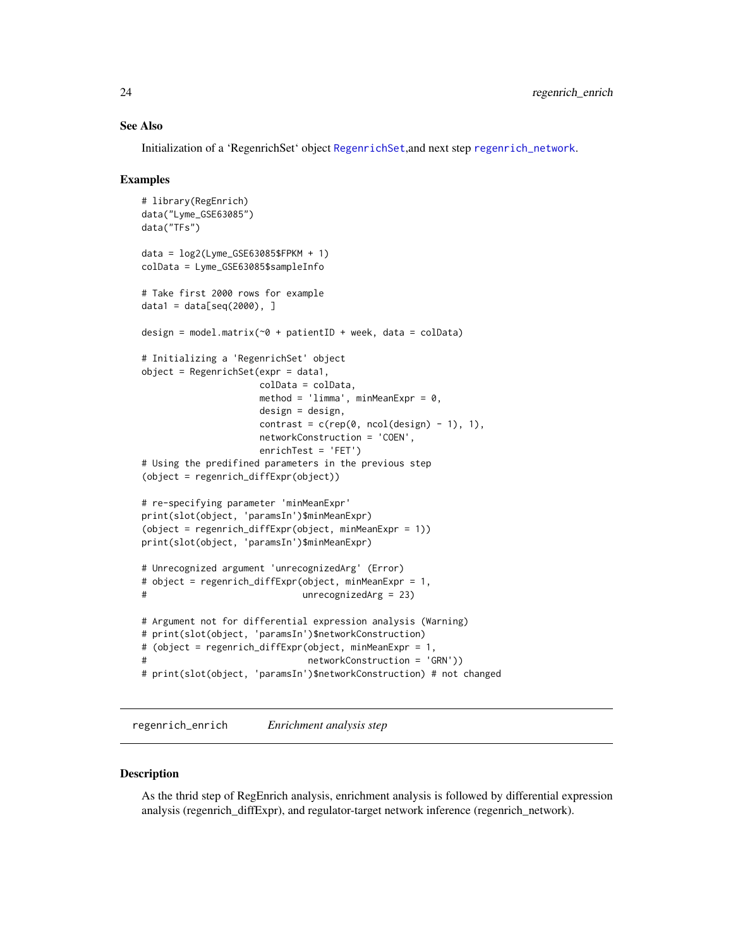#### <span id="page-23-0"></span>See Also

Initialization of a 'RegenrichSet' object [RegenrichSet](#page-14-1),and next step [regenrich\\_network](#page-25-1).

#### Examples

```
# library(RegEnrich)
data("Lyme_GSE63085")
data("TFs")
data = log2(Lyme_GSE63085$FPKM + 1)colData = Lyme_GSE63085$sampleInfo
# Take first 2000 rows for example
data1 = data[seq(2000), ]design = model.matrix(\sim0 + patientID + week, data = colData)
# Initializing a 'RegenrichSet' object
object = RegenrichSet(exp = data1,colData = colData,
                     method = 'limma', minMeanExpr = 0,
                     design = design,
                     contrast = c(rep(\theta, ncol(design) - 1), 1),
                     networkConstruction = 'COEN',
                     enrichTest = 'FET')
# Using the predifined parameters in the previous step
(object = regenrich_diffExpr(object))
# re-specifying parameter 'minMeanExpr'
print(slot(object, 'paramsIn')$minMeanExpr)
(object = regenrich_diffExpr(object, minMeanExpr = 1))
print(slot(object, 'paramsIn')$minMeanExpr)
# Unrecognized argument 'unrecognizedArg' (Error)
# object = regenrich_diffExpr(object, minMeanExpr = 1,
# unrecognizedArg = 23)
# Argument not for differential expression analysis (Warning)
# print(slot(object, 'paramsIn')$networkConstruction)
# (object = regenrich_diffExpr(object, minMeanExpr = 1,
# networkConstruction = 'GRN'))
# print(slot(object, 'paramsIn')$networkConstruction) # not changed
```
<span id="page-23-1"></span>regenrich\_enrich *Enrichment analysis step*

#### **Description**

As the thrid step of RegEnrich analysis, enrichment analysis is followed by differential expression analysis (regenrich\_diffExpr), and regulator-target network inference (regenrich\_network).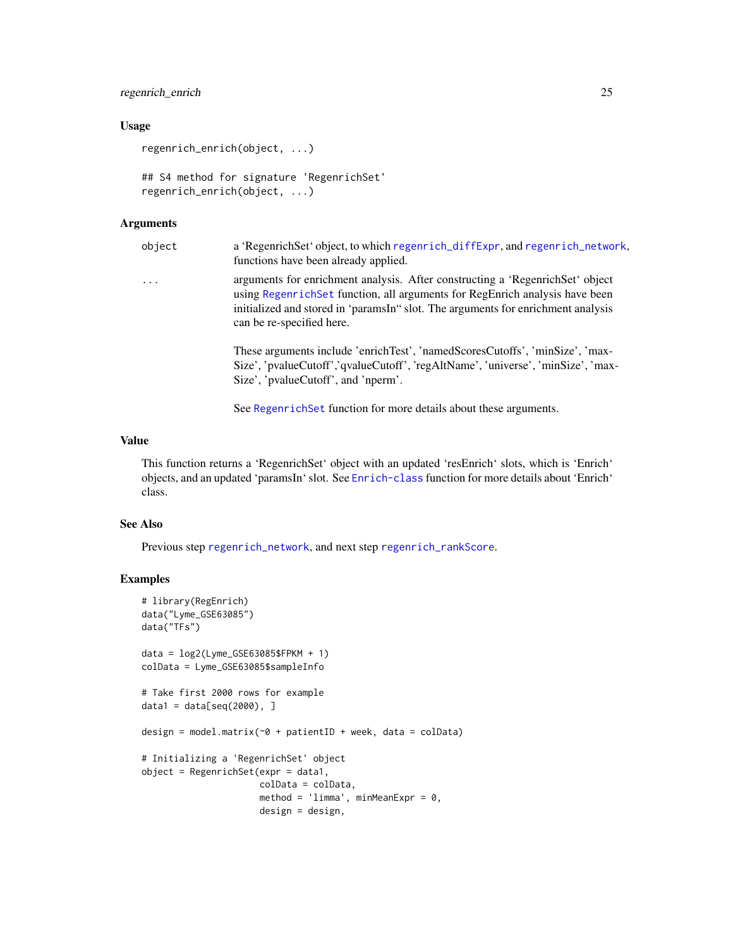# <span id="page-24-0"></span>regenrich\_enrich 25

# Usage

```
regenrich_enrich(object, ...)
```

```
## S4 method for signature 'RegenrichSet'
regenrich_enrich(object, ...)
```
# Arguments

| object   | a 'RegenrichSet' object, to which regenrich_diffExpr, and regenrich_network,<br>functions have been already applied.                                                                                                                                                           |
|----------|--------------------------------------------------------------------------------------------------------------------------------------------------------------------------------------------------------------------------------------------------------------------------------|
| $\cdots$ | arguments for enrichment analysis. After constructing a 'RegenrichSet' object<br>using Regenrich Set function, all arguments for RegEnrich analysis have been<br>initialized and stored in 'paramsIn' slot. The arguments for enrichment analysis<br>can be re-specified here. |
|          | These arguments include 'enrichTest', 'namedScoresCutoffs', 'minSize', 'max-<br>Size', 'pvalueCutoff','qvalueCutoff', 'regAltName', 'universe', 'minSize', 'max-<br>Size', 'pvalueCutoff', and 'nperm'.                                                                        |
|          |                                                                                                                                                                                                                                                                                |

See [RegenrichSet](#page-14-1) function for more details about these arguments.

## Value

This function returns a 'RegenrichSet' object with an updated 'resEnrich' slots, which is 'Enrich' objects, and an updated 'paramsIn' slot. See [Enrich-class](#page-3-1) function for more details about 'Enrich' class.

#### See Also

Previous step [regenrich\\_network](#page-25-1), and next step [regenrich\\_rankScore](#page-27-1).

```
# library(RegEnrich)
data("Lyme_GSE63085")
data("TFs")
data = log2(Lyme_GSE63085$FPKM + 1)colData = Lyme_GSE63085$sampleInfo
# Take first 2000 rows for example
data1 = data[seq(2000), ]design = model.matrix(~0 + patientID + week, data = colData)
# Initializing a 'RegenrichSet' object
object = RegenrichSet(exp = data1,colData = colData,
                     method = 'limma', minMeanExpr = 0,
                     design = design,
```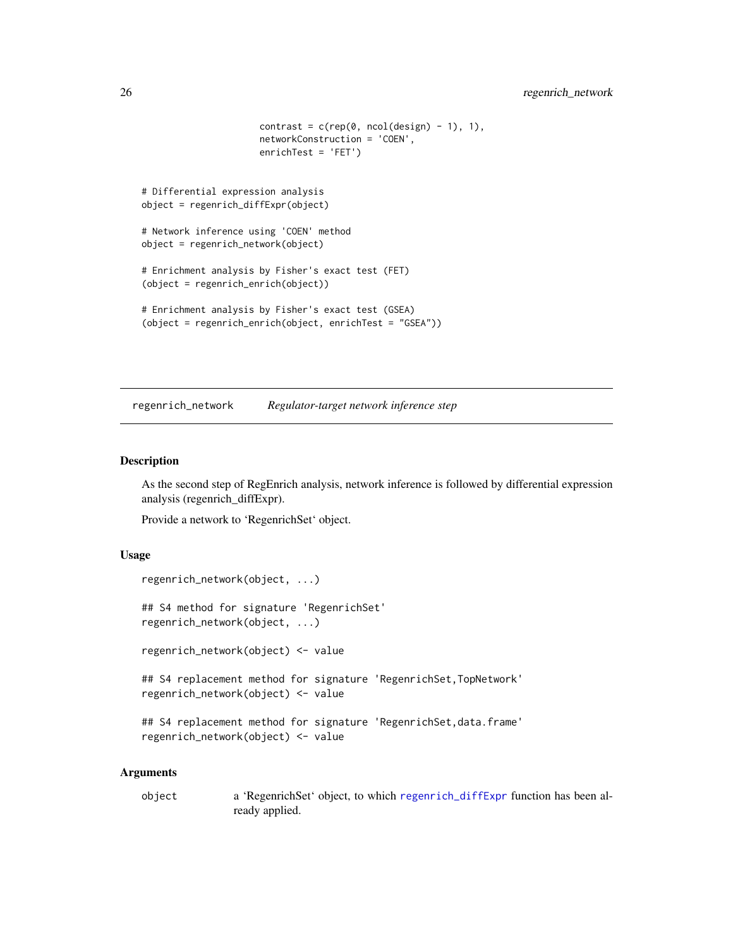```
contrast = c(rep(\theta, neo1(design) - 1), 1),networkConstruction = 'COEN',
                      enrichTest = 'FET')
# Differential expression analysis
object = regenrich_diffExpr(object)
# Network inference using 'COEN' method
object = regenrich_network(object)
# Enrichment analysis by Fisher's exact test (FET)
(object = regenrich_enrich(object))
# Enrichment analysis by Fisher's exact test (GSEA)
(object = regenrich_enrich(object, enrichTest = "GSEA"))
```
<span id="page-25-1"></span>regenrich\_network *Regulator-target network inference step*

# <span id="page-25-2"></span>Description

As the second step of RegEnrich analysis, network inference is followed by differential expression analysis (regenrich\_diffExpr).

Provide a network to 'RegenrichSet' object.

#### Usage

```
regenrich_network(object, ...)
## S4 method for signature 'RegenrichSet'
regenrich_network(object, ...)
regenrich_network(object) <- value
## S4 replacement method for signature 'RegenrichSet, TopNetwork'
regenrich_network(object) <- value
## S4 replacement method for signature 'RegenrichSet,data.frame'
regenrich_network(object) <- value
```
#### Arguments

object a 'RegenrichSet' object, to which [regenrich\\_diffExpr](#page-22-1) function has been already applied.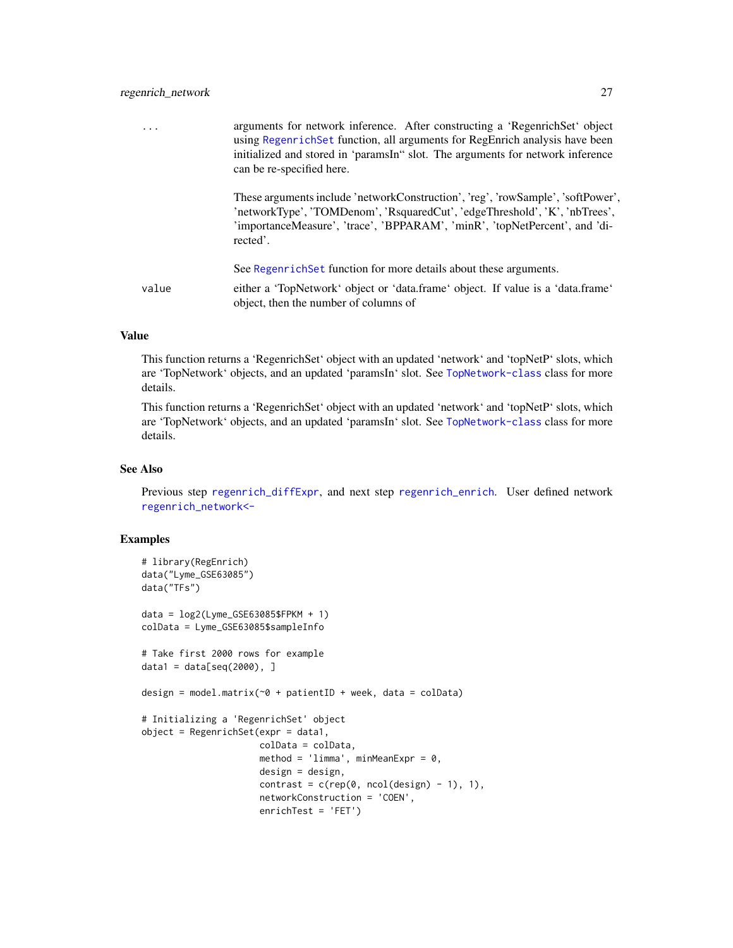<span id="page-26-0"></span>

|       | arguments for network inference. After constructing a 'RegenrichSet' object<br>using RegenrichSet function, all arguments for RegEnrich analysis have been<br>initialized and stored in 'paramsIn' slot. The arguments for network inference<br>can be re-specified here. |
|-------|---------------------------------------------------------------------------------------------------------------------------------------------------------------------------------------------------------------------------------------------------------------------------|
|       | These arguments include 'networkConstruction', 'reg', 'rowSample', 'softPower',<br>'networkType', 'TOMDenom', 'RsquaredCut', 'edgeThreshold', 'K', 'nbTrees',<br>'importanceMeasure', 'trace', 'BPPARAM', 'minR', 'topNetPercent', and 'di-<br>rected'.                   |
|       | See Regenrich Set function for more details about these arguments.                                                                                                                                                                                                        |
| value | either a 'TopNetwork' object or 'data.frame' object. If value is a 'data.frame'<br>object, then the number of columns of                                                                                                                                                  |
|       |                                                                                                                                                                                                                                                                           |

# Value

This function returns a 'RegenrichSet' object with an updated 'network' and 'topNetP' slots, which are 'TopNetwork' objects, and an updated 'paramsIn' slot. See [TopNetwork-class](#page-32-1) class for more details.

This function returns a 'RegenrichSet' object with an updated 'network' and 'topNetP' slots, which are 'TopNetwork' objects, and an updated 'paramsIn' slot. See [TopNetwork-class](#page-32-1) class for more details.

# See Also

Previous step [regenrich\\_diffExpr](#page-22-1), and next step [regenrich\\_enrich](#page-23-1). User defined network [regenrich\\_network<-](#page-25-2)

```
# library(RegEnrich)
data("Lyme_GSE63085")
data("TFs")
data = log2(Lyme_GSE63085$FPKM + 1)
colData = Lyme_GSE63085$sampleInfo
# Take first 2000 rows for example
data1 = data[seq(2000), ]design = model.matrix(\sim 0 + patientID + week, data = colData)
# Initializing a 'RegenrichSet' object
object = RegenrichSet(exp = data1,colData = colData,
                      method = 'limma', minMeanExpr = 0,
                      design = design,
                      contrast = c(rep(\theta, neo1(design) - 1), 1),networkConstruction = 'COEN',
                      enrichTest = 'FET')
```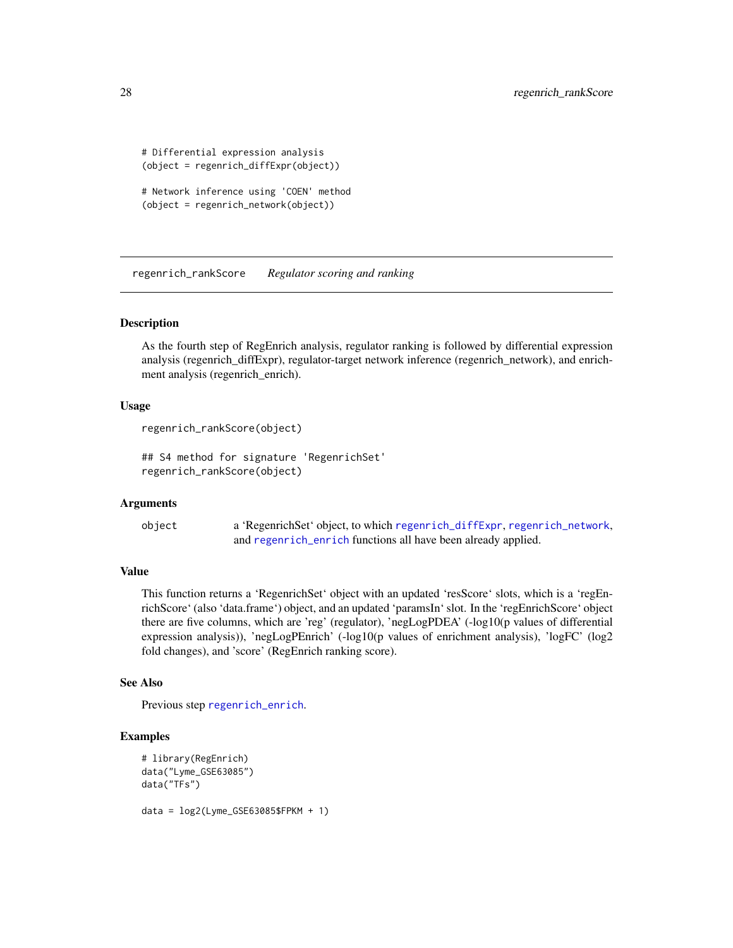```
# Differential expression analysis
(object = regenrich_diffExpr(object))
# Network inference using 'COEN' method
(object = regenrich_network(object))
```
<span id="page-27-1"></span>regenrich\_rankScore *Regulator scoring and ranking*

# **Description**

As the fourth step of RegEnrich analysis, regulator ranking is followed by differential expression analysis (regenrich\_diffExpr), regulator-target network inference (regenrich\_network), and enrichment analysis (regenrich\_enrich).

#### Usage

```
regenrich_rankScore(object)
```
## S4 method for signature 'RegenrichSet' regenrich\_rankScore(object)

# Arguments

```
object a 'RegenrichSet' object, to which regenrich_diffExpr, regenrich_network,
                and regenrich_enrich functions all have been already applied.
```
#### Value

This function returns a 'RegenrichSet' object with an updated 'resScore' slots, which is a 'regEnrichScore' (also 'data.frame') object, and an updated 'paramsIn' slot. In the 'regEnrichScore' object there are five columns, which are 'reg' (regulator), 'negLogPDEA' (-log10(p values of differential expression analysis)), 'negLogPEnrich' (-log10(p values of enrichment analysis), 'logFC' (log2 fold changes), and 'score' (RegEnrich ranking score).

#### See Also

Previous step [regenrich\\_enrich](#page-23-1).

```
# library(RegEnrich)
data("Lyme_GSE63085")
data("TFs")
data = log2(Lyme_GSE63085$FPKM + 1)
```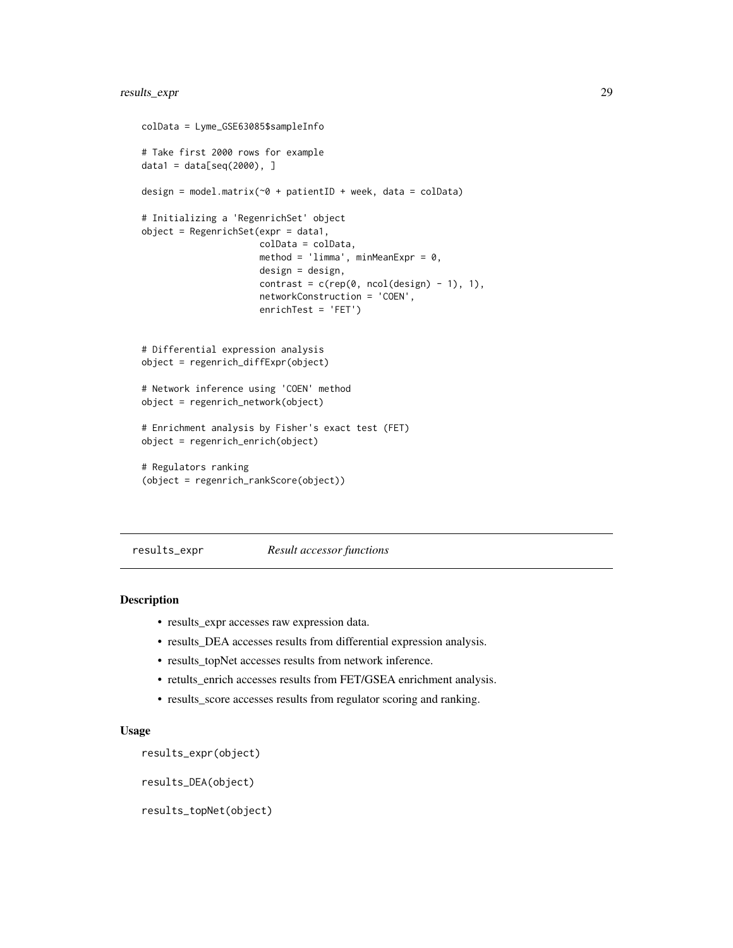# <span id="page-28-0"></span>results\_expr 29

```
colData = Lyme_GSE63085$sampleInfo
# Take first 2000 rows for example
data1 = data[seq(2000), ]design = model.matrix(\sim 0 + patientID + week, data = colData)
# Initializing a 'RegenrichSet' object
object = RegenrichSet(exp = data1,colData = colData,
                      method = 'limma', minMeanExpr = \emptyset,
                      design = design,
                      contrast = c(rep(\theta, neo1(design) - 1), 1),networkConstruction = 'COEN',
                      enrichTest = 'FET')
# Differential expression analysis
object = regenrich_diffExpr(object)
# Network inference using 'COEN' method
object = regenrich_network(object)
# Enrichment analysis by Fisher's exact test (FET)
object = regenrich_enrich(object)
# Regulators ranking
(object = regenrich_rankScore(object))
```
#### results\_expr *Result accessor functions*

#### Description

- results\_expr accesses raw expression data.
- results\_DEA accesses results from differential expression analysis.
- results\_topNet accesses results from network inference.
- retults\_enrich accesses results from FET/GSEA enrichment analysis.
- results\_score accesses results from regulator scoring and ranking.

#### Usage

```
results_expr(object)
```
results\_DEA(object)

results\_topNet(object)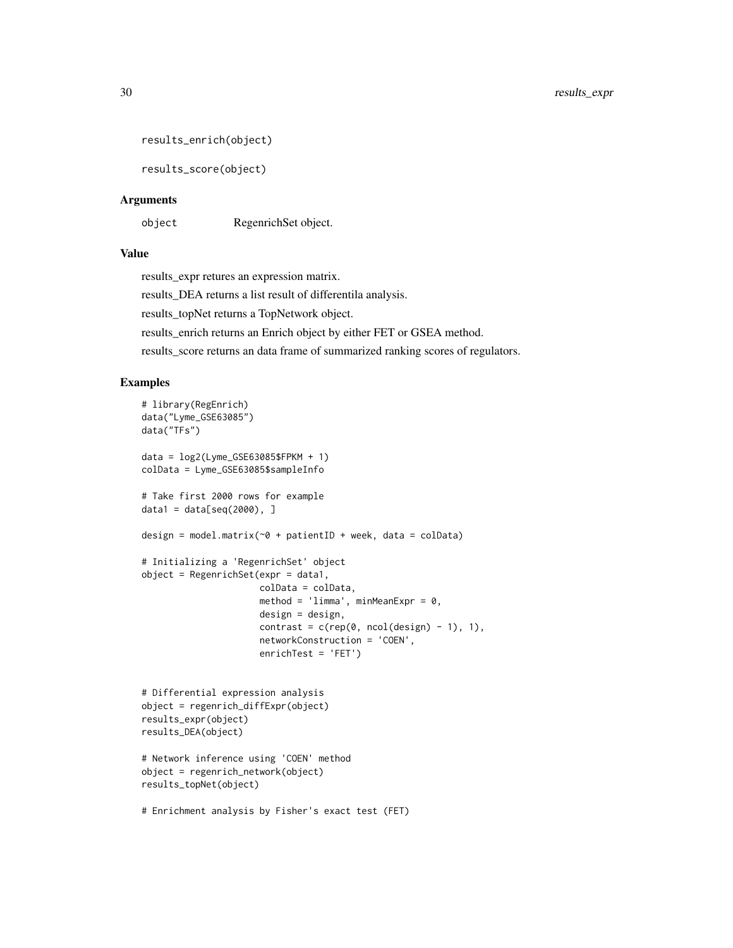```
results_enrich(object)
```
results\_score(object)

#### **Arguments**

object RegenrichSet object.

#### Value

results\_expr retures an expression matrix.

results\_DEA returns a list result of differentila analysis.

results\_topNet returns a TopNetwork object.

results\_enrich returns an Enrich object by either FET or GSEA method.

results\_score returns an data frame of summarized ranking scores of regulators.

```
# library(RegEnrich)
data("Lyme_GSE63085")
data("TFs")
data = log2(Lyme_GSE63085$FPKM + 1)
colData = Lyme_GSE63085$sampleInfo
# Take first 2000 rows for example
data1 = data[seq(2000), ]design = model.matrix(\sim 0 + patientID + week, data = colData)
# Initializing a 'RegenrichSet' object
object = RegenrichSet(expr = data1,
                      colData = colData,
                      method = 'limma', minMeanExpr = 0,
                      design = design,
                      contrast = c(rep(\theta, ncol(design) - 1), 1),networkConstruction = 'COEN',
                      enrichTest = 'FET')
# Differential expression analysis
object = regenrich_diffExpr(object)
results_expr(object)
results_DEA(object)
# Network inference using 'COEN' method
object = regenrich_network(object)
results_topNet(object)
# Enrichment analysis by Fisher's exact test (FET)
```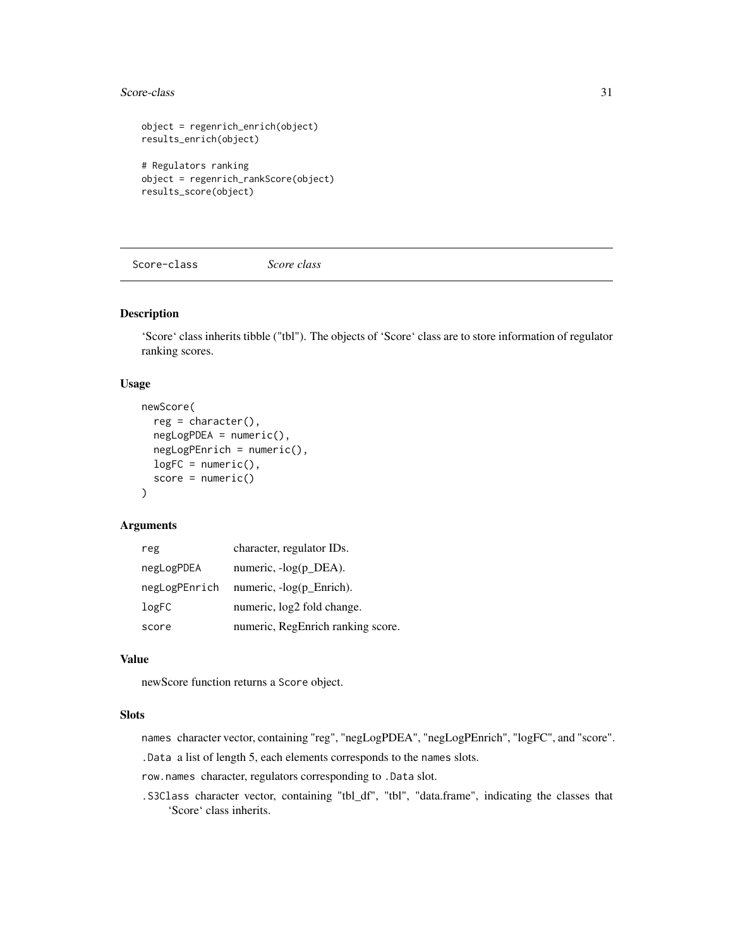#### <span id="page-30-0"></span>Score-class 31

```
object = regenrich_enrich(object)
results_enrich(object)
# Regulators ranking
object = regenrich_rankScore(object)
results_score(object)
```
Score-class *Score class*

# Description

'Score' class inherits tibble ("tbl"). The objects of 'Score' class are to store information of regulator ranking scores.

#### Usage

```
newScore(
  reg = character(),
  negLogPDEA = numeric(),
 negLogPEnrich = numeric(),
  logFC = numeric(),score = numeric()\lambda
```
# Arguments

| reg           | character, regulator IDs.         |
|---------------|-----------------------------------|
| negLogPDEA    | numeric, -log(p_DEA).             |
| negLogPEnrich | numeric, -log(p_Enrich).          |
| logFC         | numeric, $log2$ fold change.      |
| score         | numeric, RegEnrich ranking score. |

### Value

newScore function returns a Score object.

#### Slots

names character vector, containing "reg", "negLogPDEA", "negLogPEnrich", "logFC", and "score".

.Data a list of length 5, each elements corresponds to the names slots.

row.names character, regulators corresponding to .Data slot.

.S3Class character vector, containing "tbl\_df", "tbl", "data.frame", indicating the classes that 'Score' class inherits.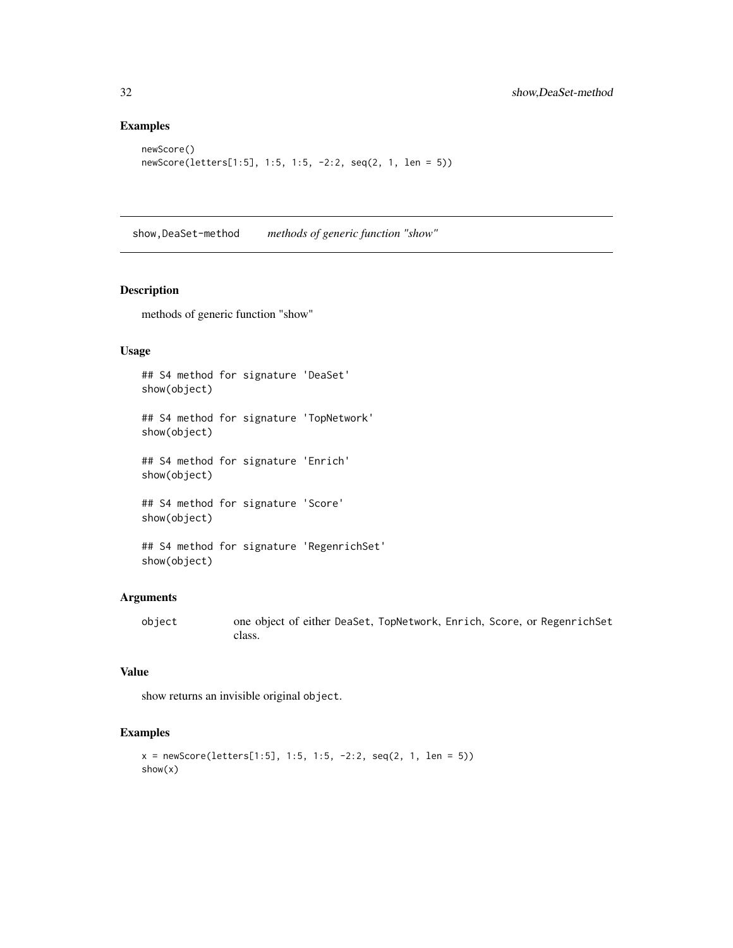# Examples

```
newScore()
newScore(letters[1:5], 1:5, 1:5, -2:2, seq(2, 1, len = 5))
```
show,DeaSet-method *methods of generic function "show"*

# Description

methods of generic function "show"

#### Usage

## S4 method for signature 'DeaSet' show(object) ## S4 method for signature 'TopNetwork' show(object) ## S4 method for signature 'Enrich' show(object) ## S4 method for signature 'Score' show(object)

```
## S4 method for signature 'RegenrichSet'
show(object)
```
#### Arguments

object one object of either DeaSet, TopNetwork, Enrich, Score, or RegenrichSet class.

# Value

show returns an invisible original object.

```
x = newScore(leftters[1:5], 1:5, 1:5, -2:2, seq(2, 1, len = 5))show(x)
```
<span id="page-31-0"></span>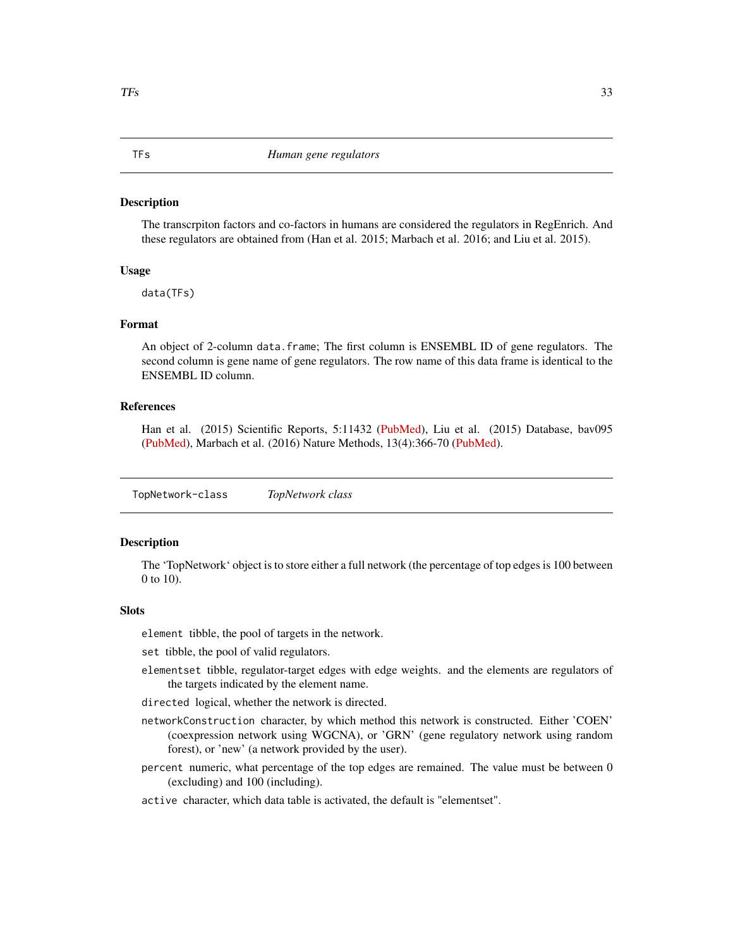#### <span id="page-32-0"></span>Description

The transcrpiton factors and co-factors in humans are considered the regulators in RegEnrich. And these regulators are obtained from (Han et al. 2015; Marbach et al. 2016; and Liu et al. 2015).

#### Usage

data(TFs)

#### Format

An object of 2-column data.frame; The first column is ENSEMBL ID of gene regulators. The second column is gene name of gene regulators. The row name of this data frame is identical to the ENSEMBL ID column.

#### References

Han et al. (2015) Scientific Reports, 5:11432 [\(PubMed\)](https://www.ncbi.nlm.nih.gov/pubmed/26066708), Liu et al. (2015) Database, bav095 [\(PubMed\)](https://www.ncbi.nlm.nih.gov/pubmed/26424082), Marbach et al. (2016) Nature Methods, 13(4):366-70 [\(PubMed\)](https://www.ncbi.nlm.nih.gov/pubmed/26424082).

<span id="page-32-1"></span>TopNetwork-class *TopNetwork class*

## **Description**

The 'TopNetwork' object is to store either a full network (the percentage of top edges is 100 between 0 to 10).

#### **Slots**

element tibble, the pool of targets in the network.

set tibble, the pool of valid regulators.

elementset tibble, regulator-target edges with edge weights. and the elements are regulators of the targets indicated by the element name.

directed logical, whether the network is directed.

- networkConstruction character, by which method this network is constructed. Either 'COEN' (coexpression network using WGCNA), or 'GRN' (gene regulatory network using random forest), or 'new' (a network provided by the user).
- percent numeric, what percentage of the top edges are remained. The value must be between 0 (excluding) and 100 (including).
- active character, which data table is activated, the default is "elementset".